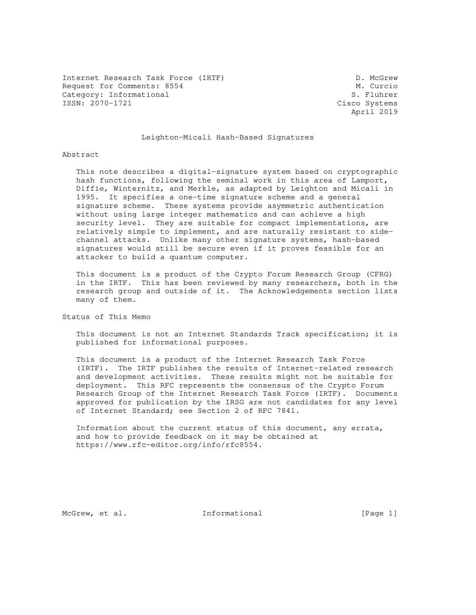Internet Research Task Force (IRTF) D. McGrew Request for Comments: 8554 M. Curcio<br>
Category: Informational S. Fluhrer Category: Informational<br>ISSN: 2070-1721

Cisco Systems April 2019

## Leighton-Micali Hash-Based Signatures

#### Abstract

 This note describes a digital-signature system based on cryptographic hash functions, following the seminal work in this area of Lamport, Diffie, Winternitz, and Merkle, as adapted by Leighton and Micali in 1995. It specifies a one-time signature scheme and a general signature scheme. These systems provide asymmetric authentication without using large integer mathematics and can achieve a high security level. They are suitable for compact implementations, are relatively simple to implement, and are naturally resistant to side channel attacks. Unlike many other signature systems, hash-based signatures would still be secure even if it proves feasible for an attacker to build a quantum computer.

 This document is a product of the Crypto Forum Research Group (CFRG) in the IRTF. This has been reviewed by many researchers, both in the research group and outside of it. The Acknowledgements section lists many of them.

Status of This Memo

 This document is not an Internet Standards Track specification; it is published for informational purposes.

 This document is a product of the Internet Research Task Force (IRTF). The IRTF publishes the results of Internet-related research and development activities. These results might not be suitable for deployment. This RFC represents the consensus of the Crypto Forum Research Group of the Internet Research Task Force (IRTF). Documents approved for publication by the IRSG are not candidates for any level of Internet Standard; see Section 2 of RFC 7841.

 Information about the current status of this document, any errata, and how to provide feedback on it may be obtained at https://www.rfc-editor.org/info/rfc8554.

McGrew, et al. 1nformational [Page 1]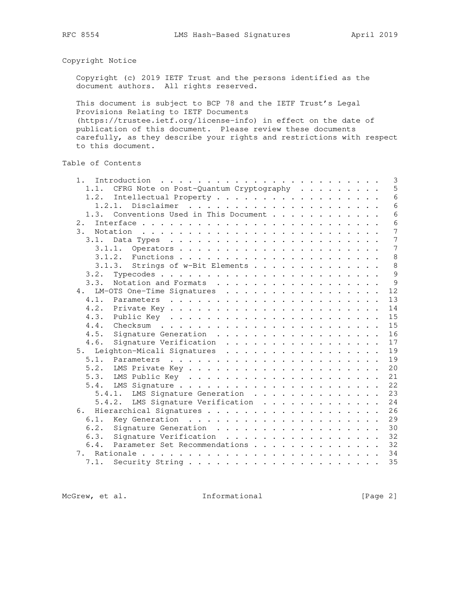Copyright Notice

 Copyright (c) 2019 IETF Trust and the persons identified as the document authors. All rights reserved.

 This document is subject to BCP 78 and the IETF Trust's Legal Provisions Relating to IETF Documents (https://trustee.ietf.org/license-info) in effect on the date of publication of this document. Please review these documents carefully, as they describe your rights and restrictions with respect to this document.

Table of Contents

| $1$ . |                                        |  |  |  |  | 3               |
|-------|----------------------------------------|--|--|--|--|-----------------|
| 1.1.  | CFRG Note on Post-Quantum Cryptography |  |  |  |  | 5               |
| 1.2.  | Intellectual Property                  |  |  |  |  | 6               |
|       | 1, 2, 1,                               |  |  |  |  | $6\overline{6}$ |
| 1.3.  | Conventions Used in This Document      |  |  |  |  | 6               |
| 2.    |                                        |  |  |  |  | 6               |
| 3.    |                                        |  |  |  |  | 7               |
| 3.1.  |                                        |  |  |  |  | 7               |
|       | 3.1.1.                                 |  |  |  |  | 7               |
|       |                                        |  |  |  |  | 8               |
|       | 3.1.3. Strings of w-Bit Elements       |  |  |  |  | 8               |
| 3.2.  |                                        |  |  |  |  | 9               |
| 3.3.  | Notation and Formats                   |  |  |  |  | 9               |
| 4.    | LM-OTS One-Time Signatures             |  |  |  |  | 12              |
| 4.1.  |                                        |  |  |  |  | 13              |
| 4.2.  |                                        |  |  |  |  | 14              |
| 4.3.  |                                        |  |  |  |  | 15              |
| 4.4.  |                                        |  |  |  |  | 15              |
| 4.5.  | Signature Generation                   |  |  |  |  | 16              |
| 4.6.  | Signature Verification                 |  |  |  |  | 17              |
| 5.    | Leighton-Micali Signatures             |  |  |  |  | 19              |
| 5.1.  |                                        |  |  |  |  | 19              |
| 5.2.  |                                        |  |  |  |  | 20              |
| 5.3.  |                                        |  |  |  |  | 21              |
| 5.4.  |                                        |  |  |  |  | 22              |
|       | 5.4.1. LMS Signature Generation        |  |  |  |  | 23              |
|       | 5.4.2. LMS Signature Verification      |  |  |  |  | 24              |
|       |                                        |  |  |  |  | 26              |
| 6.1.  |                                        |  |  |  |  | 29              |
| 6.2.  | Signature Generation                   |  |  |  |  | 30              |
| 6.3.  | Signature Verification                 |  |  |  |  | 32              |
| 6.4.  | Parameter Set Recommendations          |  |  |  |  | 32              |
| 7.    |                                        |  |  |  |  | 34              |
| 7.1.  |                                        |  |  |  |  | 35              |
|       |                                        |  |  |  |  |                 |

McGrew, et al. 1nformational [Page 2]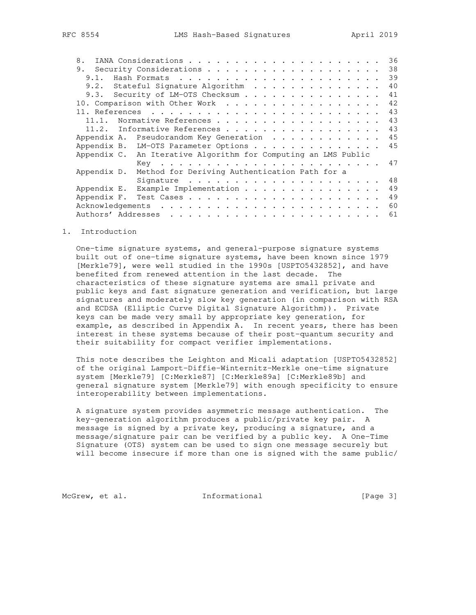| 8.                                                             | 36 |
|----------------------------------------------------------------|----|
|                                                                | 38 |
| 9.1.                                                           | 39 |
| 9.2. Stateful Signature Algorithm                              | 40 |
| 9.3. Security of LM-OTS Checksum                               | 41 |
| 10. Comparison with Other Work                                 | 42 |
|                                                                | 43 |
| Normative References<br>11.1.                                  | 43 |
| Informative References<br>11.2.                                | 43 |
| Pseudorandom Key Generation<br>Appendix A.                     | 45 |
| Appendix B. LM-OTS Parameter Options                           | 45 |
| Appendix C. An Iterative Algorithm for Computing an LMS Public |    |
|                                                                | 47 |
| Method for Deriving Authentication Path for a<br>Appendix D.   |    |
|                                                                | 48 |
| Example Implementation<br>Appendix E.                          | 49 |
| Appendix F.                                                    | 49 |
|                                                                | 60 |
|                                                                | 61 |

#### 1. Introduction

 One-time signature systems, and general-purpose signature systems built out of one-time signature systems, have been known since 1979 [Merkle79], were well studied in the 1990s [USPTO5432852], and have benefited from renewed attention in the last decade. The characteristics of these signature systems are small private and public keys and fast signature generation and verification, but large signatures and moderately slow key generation (in comparison with RSA and ECDSA (Elliptic Curve Digital Signature Algorithm)). Private keys can be made very small by appropriate key generation, for example, as described in Appendix A. In recent years, there has been interest in these systems because of their post-quantum security and their suitability for compact verifier implementations.

 This note describes the Leighton and Micali adaptation [USPTO5432852] of the original Lamport-Diffie-Winternitz-Merkle one-time signature system [Merkle79] [C:Merkle87] [C:Merkle89a] [C:Merkle89b] and general signature system [Merkle79] with enough specificity to ensure interoperability between implementations.

 A signature system provides asymmetric message authentication. The key-generation algorithm produces a public/private key pair. A message is signed by a private key, producing a signature, and a message/signature pair can be verified by a public key. A One-Time Signature (OTS) system can be used to sign one message securely but will become insecure if more than one is signed with the same public/

McGrew, et al. 1nformational [Page 3]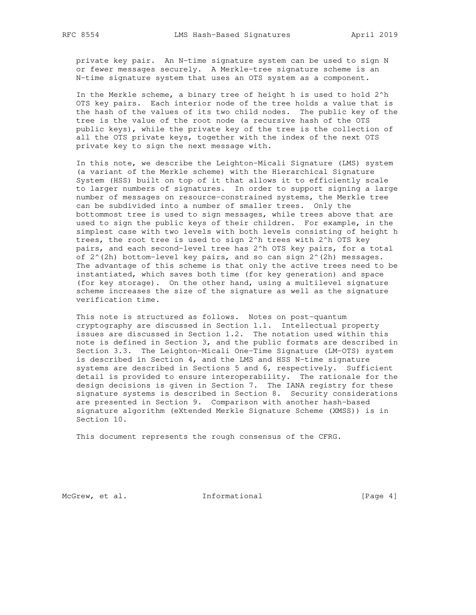private key pair. An N-time signature system can be used to sign N or fewer messages securely. A Merkle-tree signature scheme is an N-time signature system that uses an OTS system as a component.

 In the Merkle scheme, a binary tree of height h is used to hold 2^h OTS key pairs. Each interior node of the tree holds a value that is the hash of the values of its two child nodes. The public key of the tree is the value of the root node (a recursive hash of the OTS public keys), while the private key of the tree is the collection of all the OTS private keys, together with the index of the next OTS private key to sign the next message with.

 In this note, we describe the Leighton-Micali Signature (LMS) system (a variant of the Merkle scheme) with the Hierarchical Signature System (HSS) built on top of it that allows it to efficiently scale to larger numbers of signatures. In order to support signing a large number of messages on resource-constrained systems, the Merkle tree can be subdivided into a number of smaller trees. Only the bottommost tree is used to sign messages, while trees above that are used to sign the public keys of their children. For example, in the simplest case with two levels with both levels consisting of height h trees, the root tree is used to sign 2^h trees with 2^h OTS key pairs, and each second-level tree has 2^h OTS key pairs, for a total of  $2^{\wedge}(2h)$  bottom-level key pairs, and so can sign  $2^{\wedge}(2h)$  messages. The advantage of this scheme is that only the active trees need to be instantiated, which saves both time (for key generation) and space (for key storage). On the other hand, using a multilevel signature scheme increases the size of the signature as well as the signature verification time.

 This note is structured as follows. Notes on post-quantum cryptography are discussed in Section 1.1. Intellectual property issues are discussed in Section 1.2. The notation used within this note is defined in Section 3, and the public formats are described in Section 3.3. The Leighton-Micali One-Time Signature (LM-OTS) system is described in Section 4, and the LMS and HSS N-time signature systems are described in Sections 5 and 6, respectively. Sufficient detail is provided to ensure interoperability. The rationale for the design decisions is given in Section 7. The IANA registry for these signature systems is described in Section 8. Security considerations are presented in Section 9. Comparison with another hash-based signature algorithm (eXtended Merkle Signature Scheme (XMSS)) is in Section 10.

This document represents the rough consensus of the CFRG.

McGrew, et al. 1nformational [Page 4]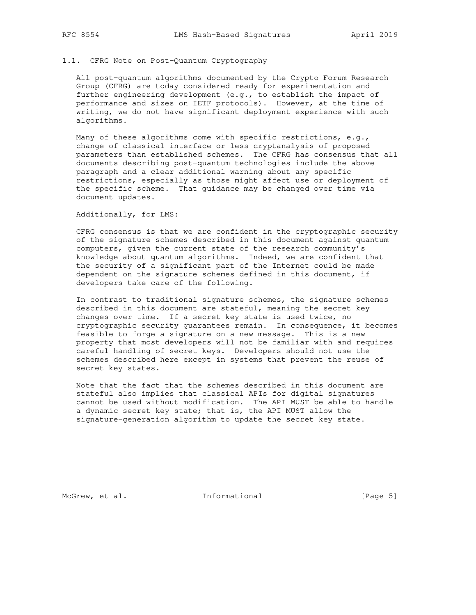## 1.1. CFRG Note on Post-Quantum Cryptography

 All post-quantum algorithms documented by the Crypto Forum Research Group (CFRG) are today considered ready for experimentation and further engineering development (e.g., to establish the impact of performance and sizes on IETF protocols). However, at the time of writing, we do not have significant deployment experience with such algorithms.

 Many of these algorithms come with specific restrictions, e.g., change of classical interface or less cryptanalysis of proposed parameters than established schemes. The CFRG has consensus that all documents describing post-quantum technologies include the above paragraph and a clear additional warning about any specific restrictions, especially as those might affect use or deployment of the specific scheme. That guidance may be changed over time via document updates.

Additionally, for LMS:

 CFRG consensus is that we are confident in the cryptographic security of the signature schemes described in this document against quantum computers, given the current state of the research community's knowledge about quantum algorithms. Indeed, we are confident that the security of a significant part of the Internet could be made dependent on the signature schemes defined in this document, if developers take care of the following.

 In contrast to traditional signature schemes, the signature schemes described in this document are stateful, meaning the secret key changes over time. If a secret key state is used twice, no cryptographic security guarantees remain. In consequence, it becomes feasible to forge a signature on a new message. This is a new property that most developers will not be familiar with and requires careful handling of secret keys. Developers should not use the schemes described here except in systems that prevent the reuse of secret key states.

 Note that the fact that the schemes described in this document are stateful also implies that classical APIs for digital signatures cannot be used without modification. The API MUST be able to handle a dynamic secret key state; that is, the API MUST allow the signature-generation algorithm to update the secret key state.

McGrew, et al. 1nformational [Page 5]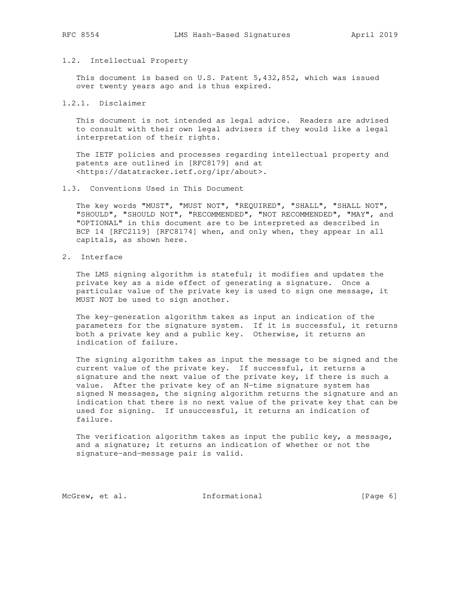#### 1.2. Intellectual Property

 This document is based on U.S. Patent 5,432,852, which was issued over twenty years ago and is thus expired.

## 1.2.1. Disclaimer

 This document is not intended as legal advice. Readers are advised to consult with their own legal advisers if they would like a legal interpretation of their rights.

 The IETF policies and processes regarding intellectual property and patents are outlined in [RFC8179] and at <https://datatracker.ietf.org/ipr/about>.

#### 1.3. Conventions Used in This Document

 The key words "MUST", "MUST NOT", "REQUIRED", "SHALL", "SHALL NOT", "SHOULD", "SHOULD NOT", "RECOMMENDED", "NOT RECOMMENDED", "MAY", and "OPTIONAL" in this document are to be interpreted as described in BCP 14 [RFC2119] [RFC8174] when, and only when, they appear in all capitals, as shown here.

# 2. Interface

 The LMS signing algorithm is stateful; it modifies and updates the private key as a side effect of generating a signature. Once a particular value of the private key is used to sign one message, it MUST NOT be used to sign another.

 The key-generation algorithm takes as input an indication of the parameters for the signature system. If it is successful, it returns both a private key and a public key. Otherwise, it returns an indication of failure.

 The signing algorithm takes as input the message to be signed and the current value of the private key. If successful, it returns a signature and the next value of the private key, if there is such a value. After the private key of an N-time signature system has signed N messages, the signing algorithm returns the signature and an indication that there is no next value of the private key that can be used for signing. If unsuccessful, it returns an indication of failure.

 The verification algorithm takes as input the public key, a message, and a signature; it returns an indication of whether or not the signature-and-message pair is valid.

McGrew, et al. 1nformational [Page 6]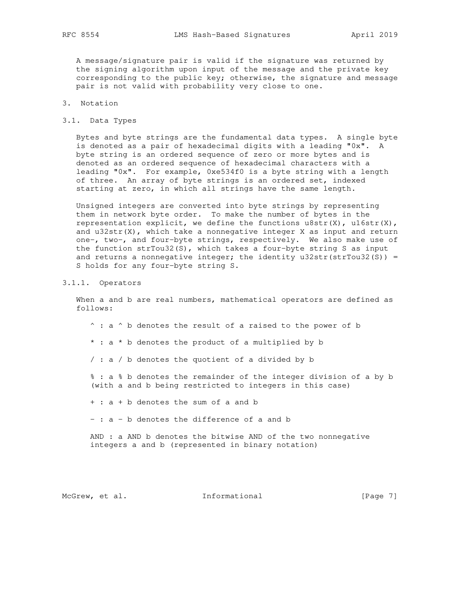A message/signature pair is valid if the signature was returned by the signing algorithm upon input of the message and the private key corresponding to the public key; otherwise, the signature and message pair is not valid with probability very close to one.

# 3. Notation

3.1. Data Types

 Bytes and byte strings are the fundamental data types. A single byte is denoted as a pair of hexadecimal digits with a leading "0x". A byte string is an ordered sequence of zero or more bytes and is denoted as an ordered sequence of hexadecimal characters with a leading "0x". For example, 0xe534f0 is a byte string with a length of three. An array of byte strings is an ordered set, indexed starting at zero, in which all strings have the same length.

 Unsigned integers are converted into byte strings by representing them in network byte order. To make the number of bytes in the representation explicit, we define the functions  $u8str(X)$ ,  $u16str(X)$ , and  $u32str(X)$ , which take a nonnegative integer X as input and return one-, two-, and four-byte strings, respectively. We also make use of the function strTou32(S), which takes a four-byte string S as input and returns a nonnegative integer; the identity  $u32str(strTou32(S)) =$ S holds for any four-byte string S.

## 3.1.1. Operators

When a and b are real numbers, mathematical operators are defined as follows:

 $\hat{ }$  : a  $\hat{ }$  b denotes the result of a raised to the power of b \* : a \* b denotes the product of a multiplied by b

/ : a / b denotes the quotient of a divided by b

 % : a % b denotes the remainder of the integer division of a by b (with a and b being restricted to integers in this case)

+ : a + b denotes the sum of a and b

- : a - b denotes the difference of a and b

 AND : a AND b denotes the bitwise AND of the two nonnegative integers a and b (represented in binary notation)

McGrew, et al. 1nformational [Page 7]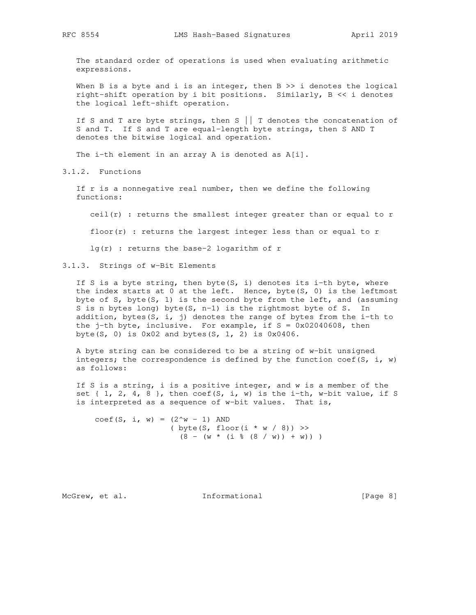The standard order of operations is used when evaluating arithmetic expressions.

When B is a byte and i is an integer, then  $B \gg i$  denotes the logical right-shift operation by i bit positions. Similarly, B << i denotes the logical left-shift operation.

If S and T are byte strings, then  $S \mid |$  T denotes the concatenation of S and T. If S and T are equal-length byte strings, then S AND T denotes the bitwise logical and operation.

The i-th element in an array A is denoted as A[i].

3.1.2. Functions

 If r is a nonnegative real number, then we define the following functions:

ceil(r) : returns the smallest integer greater than or equal to r

floor( $r$ ) : returns the largest integer less than or equal to  $r$ 

lg(r) : returns the base-2 logarithm of r

3.1.3. Strings of w-Bit Elements

If S is a byte string, then byte(S, i) denotes its i-th byte, where the index starts at  $0$  at the left. Hence, byte(S,  $0$ ) is the leftmost byte of S, byte(S, 1) is the second byte from the left, and (assuming S is n bytes long) byte(S, n-1) is the rightmost byte of S. In addition, bytes(S, i, j) denotes the range of bytes from the i-th to the  $j$ -th byte, inclusive. For example, if  $S = 0x02040608$ , then byte(S, 0) is  $0 \times 02$  and bytes(S, 1, 2) is  $0 \times 0406$ .

 A byte string can be considered to be a string of w-bit unsigned integers; the correspondence is defined by the function coef(S, i, w) as follows:

 If S is a string, i is a positive integer, and w is a member of the set  $\{1, 2, 4, 8\}$ , then coef(S, i, w) is the i-th, w-bit value, if S is interpreted as a sequence of w-bit values. That is,

coef(S, i, w) =  $(2^w - 1)$  AND ( byte(S, floor(i  $* w / 8$ )) >>  $(8 - (w * (i % (8 / w)) + w)) )$ 

McGrew, et al. 1nformational [Page 8]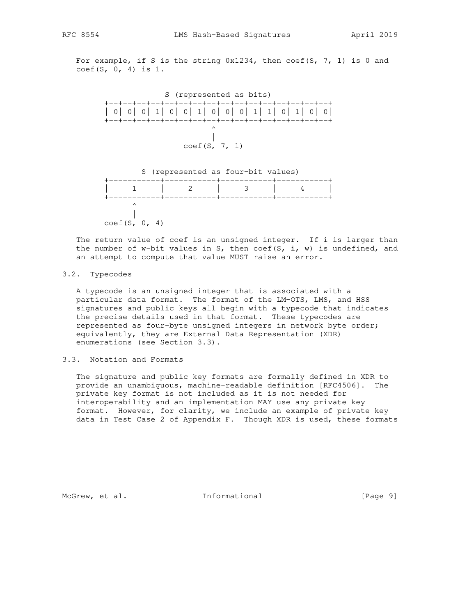For example, if S is the string  $0x1234$ , then coef(S, 7, 1) is 0 and coef(S, 0, 4) is 1.



The return value of coef is an unsigned integer. If i is larger than the number of w-bit values in S, then coef(S, i, w) is undefined, and an attempt to compute that value MUST raise an error.

## 3.2. Typecodes

 A typecode is an unsigned integer that is associated with a particular data format. The format of the LM-OTS, LMS, and HSS signatures and public keys all begin with a typecode that indicates the precise details used in that format. These typecodes are represented as four-byte unsigned integers in network byte order; equivalently, they are External Data Representation (XDR) enumerations (see Section 3.3).

## 3.3. Notation and Formats

 The signature and public key formats are formally defined in XDR to provide an unambiguous, machine-readable definition [RFC4506]. The private key format is not included as it is not needed for interoperability and an implementation MAY use any private key format. However, for clarity, we include an example of private key data in Test Case 2 of Appendix F. Though XDR is used, these formats

McGrew, et al. 1nformational [Page 9]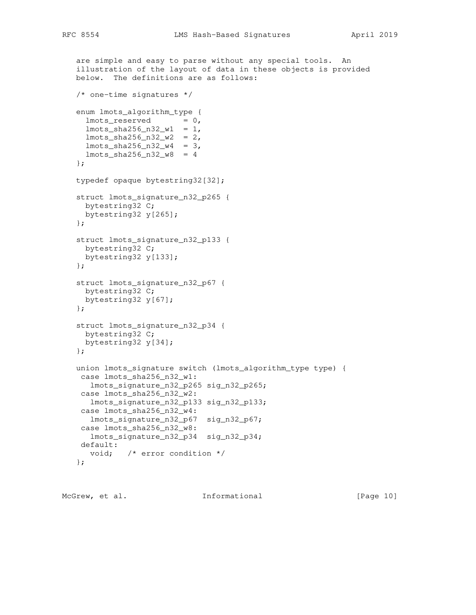```
 are simple and easy to parse without any special tools. An
 illustration of the layout of data in these objects is provided
 below. The definitions are as follows:
 /* one-time signatures */
 enum lmots_algorithm_type {
 lmots\_reserved = 0,lmots_{sha256_n32_w1} = 1,lmots_{sha256n32_w2} = 2,lmots_{sha256_n32_w4} = 3, lmots_sha256_n32_w8 = 4
 };
 typedef opaque bytestring32[32];
 struct lmots_signature_n32_p265 {
  bytestring32 C;
  bytestring32 y[265];
 };
 struct lmots_signature_n32_p133 {
  bytestring32 C;
  bytestring32 y[133];
 };
 struct lmots_signature_n32_p67 {
 bytestring32 C;
  bytestring32 y[67];
 };
 struct lmots_signature_n32_p34 {
 bytestring32 C;
  bytestring32 y[34];
 };
 union lmots_signature switch (lmots_algorithm_type type) {
  case lmots_sha256_n32_w1:
   lmots_signature_n32_p265 sig_n32_p265;
 case lmots_sha256_n32_w2:
   lmots_signature_n32_p133 sig_n32_p133;
  case lmots_sha256_n32_w4:
   lmots_signature_n32_p67 sig_n32_p67;
  case lmots_sha256_n32_w8:
   lmots_signature_n32_p34 sig_n32_p34;
  default:
    void; /* error condition */
 };
```
McGrew, et al. 1nformational [Page 10]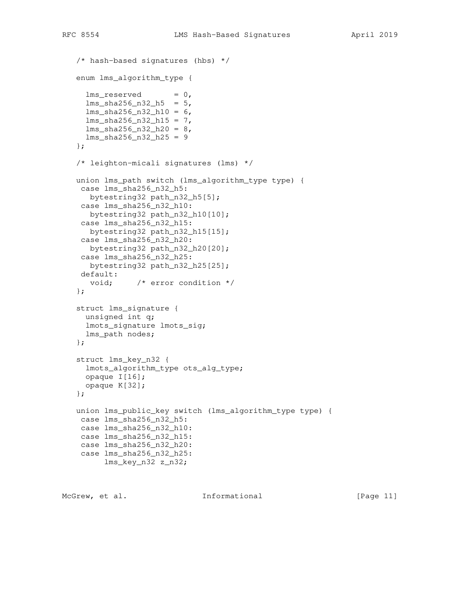```
 /* hash-based signatures (hbs) */
 enum lms_algorithm_type {
 lms\_reserved = 0,lms_sha256_n32_h5 = 5, lms_sha256_n32_h10 = 6,
 lms_{sha}256_n32_h15 = 7,lms_{sha}256_n32_h20 = 8, lms_sha256_n32_h25 = 9
 };
 /* leighton-micali signatures (lms) */
 union lms_path switch (lms_algorithm_type type) {
 case lms_sha256_n32_h5:
   bytestring32 path_n32_h5[5];
 case lms_sha256_n32_h10:
   bytestring32 path_n32_h10[10];
 case lms_sha256_n32_h15:
   bytestring32 path_n32_h15[15];
 case lms_sha256_n32_h20:
   bytestring32 path_n32_h20[20];
 case lms_sha256_n32_h25:
   bytestring32 path_n32_h25[25];
 default:
   void; /* error condition */
 };
 struct lms_signature {
 unsigned int q;
  lmots_signature lmots_sig;
  lms_path nodes;
 };
 struct lms_key_n32 {
  lmots_algorithm_type ots_alg_type;
  opaque I[16];
  opaque K[32];
 };
 union lms_public_key switch (lms_algorithm_type type) {
 case lms_sha256_n32_h5:
 case lms_sha256_n32_h10:
 case lms_sha256_n32_h15:
 case lms_sha256_n32_h20:
 case lms_sha256_n32_h25:
      lms_key_n32 z_n32;
```
McGrew, et al. **Informational** [Page 11]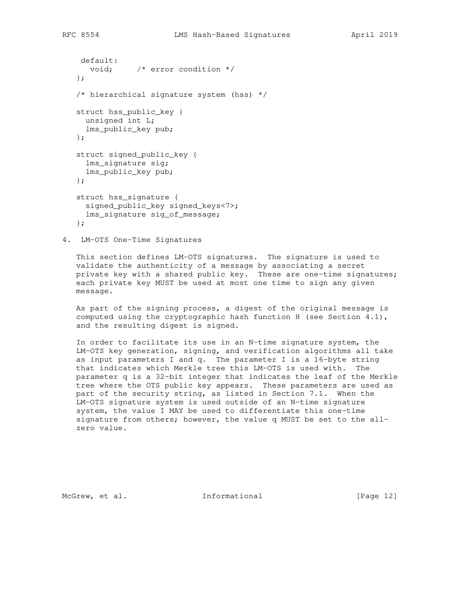```
 default:
  void; \frac{1}{2} /* error condition */
 };
 /* hierarchical signature system (hss) */
 struct hss_public_key {
 unsigned int L;
  lms_public_key pub;
 };
 struct signed_public_key {
  lms_signature sig;
  lms_public_key pub;
 };
 struct hss_signature {
  signed_public_key signed_keys<7>;
  lms_signature sig_of_message;
 };
```
4. LM-OTS One-Time Signatures

 This section defines LM-OTS signatures. The signature is used to validate the authenticity of a message by associating a secret private key with a shared public key. These are one-time signatures; each private key MUST be used at most one time to sign any given message.

 As part of the signing process, a digest of the original message is computed using the cryptographic hash function H (see Section  $4.1$ ), and the resulting digest is signed.

 In order to facilitate its use in an N-time signature system, the LM-OTS key generation, signing, and verification algorithms all take as input parameters I and q. The parameter I is a 16-byte string that indicates which Merkle tree this LM-OTS is used with. The parameter q is a 32-bit integer that indicates the leaf of the Merkle tree where the OTS public key appears. These parameters are used as part of the security string, as listed in Section 7.1. When the LM-OTS signature system is used outside of an N-time signature system, the value I MAY be used to differentiate this one-time signature from others; however, the value q MUST be set to the all zero value.

McGrew, et al. 1nformational [Page 12]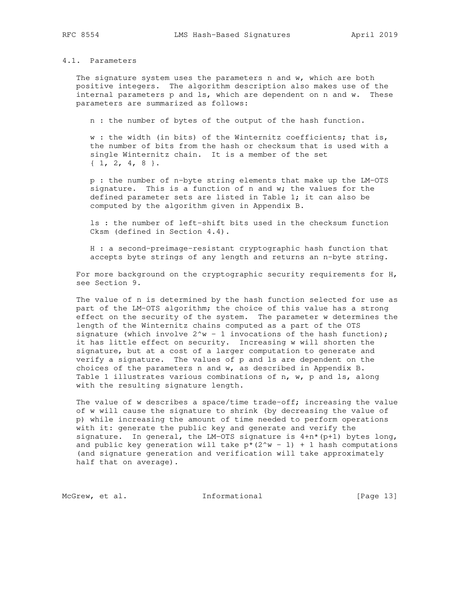## 4.1. Parameters

 The signature system uses the parameters n and w, which are both positive integers. The algorithm description also makes use of the internal parameters p and ls, which are dependent on n and w. These parameters are summarized as follows:

n : the number of bytes of the output of the hash function.

 w : the width (in bits) of the Winternitz coefficients; that is, the number of bits from the hash or checksum that is used with a single Winternitz chain. It is a member of the set { 1, 2, 4, 8 }.

 p : the number of n-byte string elements that make up the LM-OTS signature. This is a function of n and w; the values for the defined parameter sets are listed in Table 1; it can also be computed by the algorithm given in Appendix B.

 ls : the number of left-shift bits used in the checksum function Cksm (defined in Section 4.4).

 H : a second-preimage-resistant cryptographic hash function that accepts byte strings of any length and returns an n-byte string.

For more background on the cryptographic security requirements for H, see Section 9.

 The value of n is determined by the hash function selected for use as part of the LM-OTS algorithm; the choice of this value has a strong effect on the security of the system. The parameter w determines the length of the Winternitz chains computed as a part of the OTS signature (which involve  $2^w - 1$  invocations of the hash function); it has little effect on security. Increasing w will shorten the signature, but at a cost of a larger computation to generate and verify a signature. The values of p and ls are dependent on the choices of the parameters n and w, as described in Appendix B. Table 1 illustrates various combinations of n, w, p and ls, along with the resulting signature length.

 The value of w describes a space/time trade-off; increasing the value of w will cause the signature to shrink (by decreasing the value of p) while increasing the amount of time needed to perform operations with it: generate the public key and generate and verify the signature. In general, the LM-OTS signature is  $4+n*(p+1)$  bytes long, and public key generation will take  $p*(2^w - 1) + 1$  hash computations (and signature generation and verification will take approximately half that on average).

McGrew, et al. 1nformational [Page 13]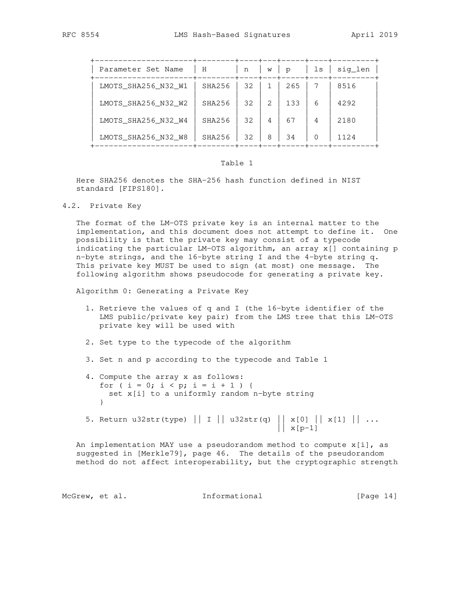| Parameter Set Name  | Η      | n  | W             | p   | ls | sig len |
|---------------------|--------|----|---------------|-----|----|---------|
| LMOTS_SHA256_N32_W1 | SHA256 | 32 |               | 265 |    | 8516    |
| LMOTS SHA256 N32 W2 | SHA256 | 32 | $\mathcal{L}$ | 133 | 6  | 4292    |
| LMOTS SHA256 N32 W4 | SHA256 | 32 | 4             | 67  | 4  | 2180    |
| LMOTS_SHA256_N32_W8 | SHA256 | 32 | 8             | 34  | O  | 1124    |

### Table 1

 Here SHA256 denotes the SHA-256 hash function defined in NIST standard [FIPS180].

4.2. Private Key

 The format of the LM-OTS private key is an internal matter to the implementation, and this document does not attempt to define it. One possibility is that the private key may consist of a typecode indicating the particular LM-OTS algorithm, an array x[] containing p n-byte strings, and the 16-byte string I and the 4-byte string q. This private key MUST be used to sign (at most) one message. The following algorithm shows pseudocode for generating a private key.

Algorithm 0: Generating a Private Key

- 1. Retrieve the values of q and I (the 16-byte identifier of the LMS public/private key pair) from the LMS tree that this LM-OTS private key will be used with
- 2. Set type to the typecode of the algorithm
- 3. Set n and p according to the typecode and Table 1
- 4. Compute the array x as follows: for (  $i = 0$ ;  $i < p$ ;  $i = i + 1$  ) { set x[i] to a uniformly random n-byte string }
- 5. Return u32str(type) || I || u32str(q) || x[0] || x[1] || ...  $\vert x[p-1] \vert$

 An implementation MAY use a pseudorandom method to compute x[i], as suggested in [Merkle79], page 46. The details of the pseudorandom method do not affect interoperability, but the cryptographic strength

McGrew, et al. 10 Informational 1999 [Page 14]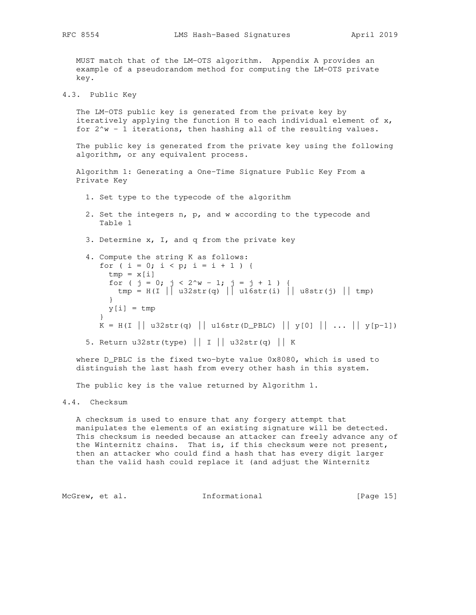MUST match that of the LM-OTS algorithm. Appendix A provides an example of a pseudorandom method for computing the LM-OTS private key.

4.3. Public Key

 The LM-OTS public key is generated from the private key by iteratively applying the function H to each individual element of x, for  $2^w - 1$  iterations, then hashing all of the resulting values.

 The public key is generated from the private key using the following algorithm, or any equivalent process.

```
 Algorithm 1: Generating a One-Time Signature Public Key From a
 Private Key
```
- 1. Set type to the typecode of the algorithm
- 2. Set the integers n, p, and w according to the typecode and Table 1
- 3. Determine x, I, and q from the private key
- 4. Compute the string K as follows: for (  $i = 0$ ;  $i < p$ ;  $i = i + 1$  ) {  $tmp = x[i]$ for (  $j = 0$ ;  $j < 2^w - 1$ ;  $j = j + 1$  ) { tmp = H(I || u32str(q) || u16str(i) || u8str(j) || tmp) }  $y[i] = tmp$  }  $K = H(I || u32str(q) || ul6str(D_PBLC) || y[0] || ... || y[p-1])$

5. Return u32str(type) || I || u32str(q) || K

 where D\_PBLC is the fixed two-byte value 0x8080, which is used to distinguish the last hash from every other hash in this system.

The public key is the value returned by Algorithm 1.

## 4.4. Checksum

 A checksum is used to ensure that any forgery attempt that manipulates the elements of an existing signature will be detected. This checksum is needed because an attacker can freely advance any of the Winternitz chains. That is, if this checksum were not present, then an attacker who could find a hash that has every digit larger than the valid hash could replace it (and adjust the Winternitz

McGrew, et al. 1nformational [Page 15]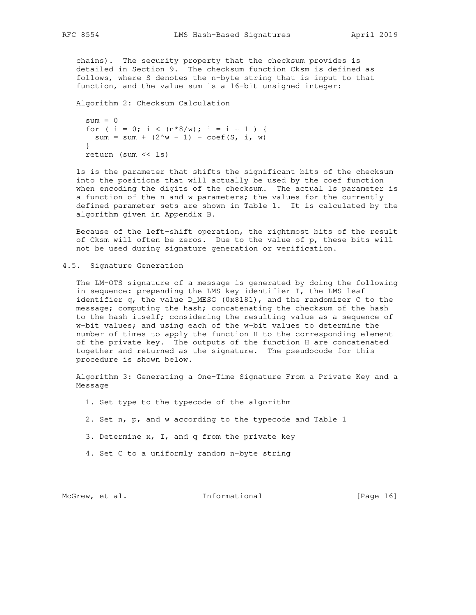chains). The security property that the checksum provides is detailed in Section 9. The checksum function Cksm is defined as follows, where S denotes the n-byte string that is input to that function, and the value sum is a 16-bit unsigned integer:

Algorithm 2: Checksum Calculation

```
sum = 0for ( i = 0; i < (n*8/w); i = i + 1 ) {
 sum = sum + (2^w - 1) - \text{coeff}(S, i, w) }
 return (sum << ls)
```
 ls is the parameter that shifts the significant bits of the checksum into the positions that will actually be used by the coef function when encoding the digits of the checksum. The actual 1s parameter is a function of the n and w parameters; the values for the currently defined parameter sets are shown in Table 1. It is calculated by the algorithm given in Appendix B.

 Because of the left-shift operation, the rightmost bits of the result of Cksm will often be zeros. Due to the value of p, these bits will not be used during signature generation or verification.

4.5. Signature Generation

 The LM-OTS signature of a message is generated by doing the following in sequence: prepending the LMS key identifier I, the LMS leaf identifier q, the value D\_MESG (0x8181), and the randomizer C to the message; computing the hash; concatenating the checksum of the hash to the hash itself; considering the resulting value as a sequence of w-bit values; and using each of the w-bit values to determine the number of times to apply the function H to the corresponding element of the private key. The outputs of the function H are concatenated together and returned as the signature. The pseudocode for this procedure is shown below.

 Algorithm 3: Generating a One-Time Signature From a Private Key and a Message

1. Set type to the typecode of the algorithm

2. Set n, p, and w according to the typecode and Table 1

3. Determine x, I, and q from the private key

4. Set C to a uniformly random n-byte string

McGrew, et al. 1nformational [Page 16]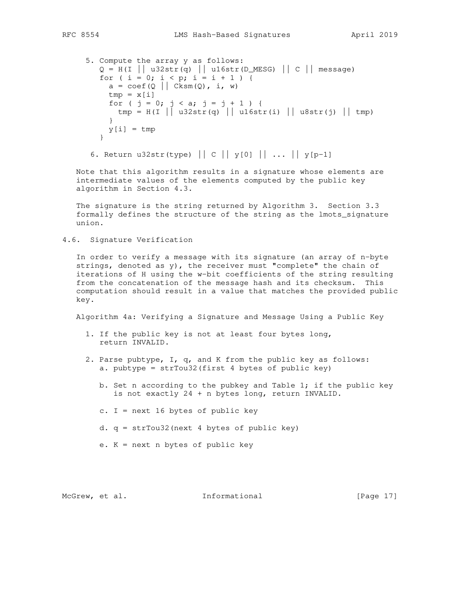```
 5. Compute the array y as follows:
        Q = H(I || u32str(q) || ul6str(D_MESG) || C || message)for ( i = 0; i < p; i = i + 1 ) {
         a = \text{coef}(Q \mid \text{Cksm}(Q), i, w)tmp = x[i]for ( j = 0; j < a; j = j + 1 ) {
          \text{tmp} = H(I || u32str(q) || u16str(i) || u8str(j) || tmp) }
         y[i] = tmp }
```
6. Return u32str(type)  $||C||y[0] ||... ||y[p-1]$ 

 Note that this algorithm results in a signature whose elements are intermediate values of the elements computed by the public key algorithm in Section 4.3.

 The signature is the string returned by Algorithm 3. Section 3.3 formally defines the structure of the string as the lmots\_signature union.

4.6. Signature Verification

 In order to verify a message with its signature (an array of n-byte strings, denoted as  $y$ , the receiver must "complete" the chain of iterations of H using the w-bit coefficients of the string resulting from the concatenation of the message hash and its checksum. This computation should result in a value that matches the provided public key.

Algorithm 4a: Verifying a Signature and Message Using a Public Key

- 1. If the public key is not at least four bytes long, return INVALID.
- 2. Parse pubtype, I, q, and K from the public key as follows: a. pubtype = strTou32(first 4 bytes of public key)
	- b. Set n according to the pubkey and Table 1; if the public key is not exactly 24 + n bytes long, return INVALID.
	- c.  $I = \text{next} 16$  bytes of public key
	- d. q = strTou32(next 4 bytes of public key)
	- e. K = next n bytes of public key

McGrew, et al. **Informational** [Page 17]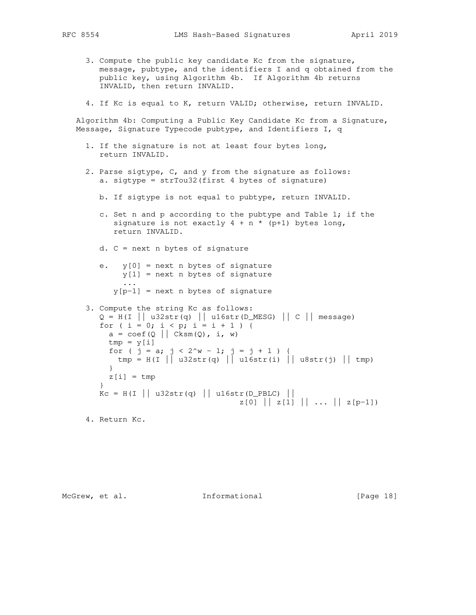- - 3. Compute the public key candidate Kc from the signature, message, pubtype, and the identifiers I and q obtained from the public key, using Algorithm 4b. If Algorithm 4b returns INVALID, then return INVALID.
	- 4. If Kc is equal to K, return VALID; otherwise, return INVALID.

 Algorithm 4b: Computing a Public Key Candidate Kc from a Signature, Message, Signature Typecode pubtype, and Identifiers I, q

- 1. If the signature is not at least four bytes long, return INVALID.
- 2. Parse sigtype, C, and y from the signature as follows: a. sigtype = strTou32(first 4 bytes of signature)
	- b. If sigtype is not equal to pubtype, return INVALID.
	- c. Set n and p according to the pubtype and Table 1; if the signature is not exactly  $4 + n * (p+1)$  bytes long, return INVALID.
	- d. C = next n bytes of signature
	- e.  $y[0]$  = next n bytes of signature  $y[1]$  = next n bytes of signature ...  $y[p-1]$  = next n bytes of signature
- 3. Compute the string Kc as follows:  $Q = H(I || u32str(q) || u16str(D_MESG) || C || message)$ for (  $i = 0$ ;  $i < p$ ;  $i = i + 1$  ) {  $a = \text{coeff}(Q \mid \text{Cksm}(Q), i, w)$  $tmp = y[i]$ for (  $j = a$ ;  $j < 2^w - 1$ ;  $j = j + 1$  ) { tmp = H(I || u32str(q) || u16str(i) || u8str(j) || tmp) }  $z[i]$  = tmp }  $KC = H(I || u32str(q) || u16str(D_PBLC) ||$  $z[0]$   $|z[1]$   $|...$   $|z[p-1]$

4. Return Kc.

McGrew, et al. **Informational** [Page 18]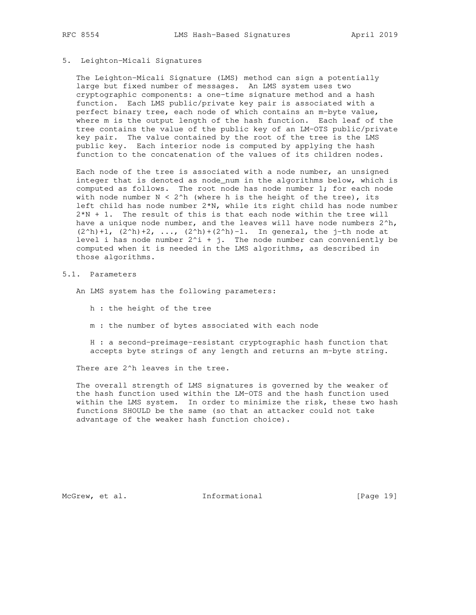## 5. Leighton-Micali Signatures

 The Leighton-Micali Signature (LMS) method can sign a potentially large but fixed number of messages. An LMS system uses two cryptographic components: a one-time signature method and a hash function. Each LMS public/private key pair is associated with a perfect binary tree, each node of which contains an m-byte value, where m is the output length of the hash function. Each leaf of the tree contains the value of the public key of an LM-OTS public/private key pair. The value contained by the root of the tree is the LMS public key. Each interior node is computed by applying the hash function to the concatenation of the values of its children nodes.

 Each node of the tree is associated with a node number, an unsigned integer that is denoted as node\_num in the algorithms below, which is computed as follows. The root node has node number 1; for each node with node number  $N < 2<sup>h</sup>$  (where h is the height of the tree), its left child has node number 2\*N, while its right child has node number 2\*N + 1. The result of this is that each node within the tree will have a unique node number, and the leaves will have node numbers  $2^h$ ,  $(2^h) + 1$ ,  $(2^h) + 2$ , ...,  $(2^h) + (2^h) - 1$ . In general, the j-th node at level i has node number  $2^i + j$ . The node number can conveniently be computed when it is needed in the LMS algorithms, as described in those algorithms.

## 5.1. Parameters

An LMS system has the following parameters:

- h : the height of the tree
- m : the number of bytes associated with each node

 H : a second-preimage-resistant cryptographic hash function that accepts byte strings of any length and returns an m-byte string.

There are 2^h leaves in the tree.

 The overall strength of LMS signatures is governed by the weaker of the hash function used within the LM-OTS and the hash function used within the LMS system. In order to minimize the risk, these two hash functions SHOULD be the same (so that an attacker could not take advantage of the weaker hash function choice).

McGrew, et al. 1nformational [Page 19]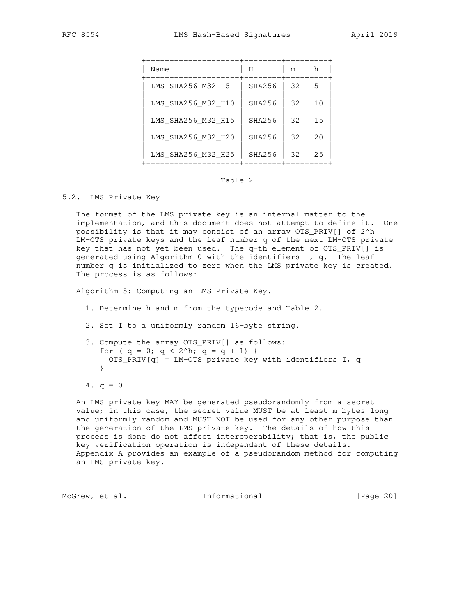| Name               | Η      | m  | h  |
|--------------------|--------|----|----|
| LMS SHA256 M32 H5  | SHA256 | 32 | 5  |
| LMS_SHA256_M32_H10 | SHA256 | 32 | 10 |
| LMS_SHA256_M32_H15 | SHA256 | 32 | 15 |
| LMS SHA256 M32 H20 | SHA256 | 32 | 20 |
| LMS_SHA256_M32_H25 | SHA256 | 32 | 25 |

## Table 2

#### 5.2. LMS Private Key

 The format of the LMS private key is an internal matter to the implementation, and this document does not attempt to define it. One possibility is that it may consist of an array OTS\_PRIV[] of 2^h LM-OTS private keys and the leaf number q of the next LM-OTS private key that has not yet been used. The q-th element of OTS\_PRIV[] is generated using Algorithm 0 with the identifiers I, q. The leaf number q is initialized to zero when the LMS private key is created. The process is as follows:

Algorithm 5: Computing an LMS Private Key.

- 1. Determine h and m from the typecode and Table 2.
- 2. Set I to a uniformly random 16-byte string.
- 3. Compute the array OTS\_PRIV[] as follows: for (  $q = 0$ ;  $q < 2^h$ ;  $q = q + 1$ ) { OTS\_PRIV[q] = LM-OTS private key with identifiers I, q }

 An LMS private key MAY be generated pseudorandomly from a secret value; in this case, the secret value MUST be at least m bytes long and uniformly random and MUST NOT be used for any other purpose than the generation of the LMS private key. The details of how this process is done do not affect interoperability; that is, the public key verification operation is independent of these details. Appendix A provides an example of a pseudorandom method for computing an LMS private key.

McGrew, et al. 1nformational [Page 20]

<sup>4.</sup>  $q = 0$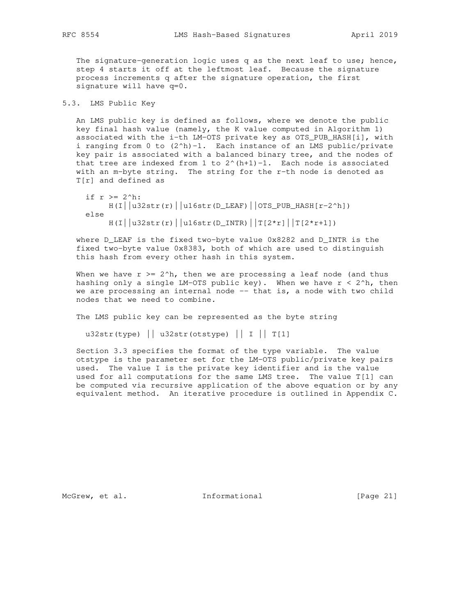The signature-generation logic uses q as the next leaf to use; hence, step 4 starts it off at the leftmost leaf. Because the signature process increments q after the signature operation, the first signature will have q=0.

## 5.3. LMS Public Key

 An LMS public key is defined as follows, where we denote the public key final hash value (namely, the K value computed in Algorithm 1) associated with the i-th LM-OTS private key as OTS\_PUB\_HASH[i], with i ranging from 0 to  $(2<sup>h</sup>)-1$ . Each instance of an LMS public/private key pair is associated with a balanced binary tree, and the nodes of that tree are indexed from 1 to  $2^{(h+1)-1}$ . Each node is associated with an m-byte string. The string for the r-th node is denoted as T[r] and defined as

```
if r >= 2^h:
    H(I||u32str(r)||u16str(D_LEAF)||0TS_PUB_HASH[r-2^h]) else
    H(I||u32str(r)||u16str(D_INTR)||T[2*r][|T[2*r+1])
```
 where D\_LEAF is the fixed two-byte value 0x8282 and D\_INTR is the fixed two-byte value 0x8383, both of which are used to distinguish this hash from every other hash in this system.

When we have  $r > = 2^h$ , then we are processing a leaf node (and thus hashing only a single LM-OTS public key). When we have  $r < 2<sup>h</sup>$ , then we are processing an internal node -- that is, a node with two child nodes that we need to combine.

The LMS public key can be represented as the byte string

u32str(type)  $||$  u32str(otstype)  $||$  I  $||$  T[1]

 Section 3.3 specifies the format of the type variable. The value otstype is the parameter set for the LM-OTS public/private key pairs used. The value I is the private key identifier and is the value used for all computations for the same LMS tree. The value T[1] can be computed via recursive application of the above equation or by any equivalent method. An iterative procedure is outlined in Appendix C.

McGrew, et al. 1nformational [Page 21]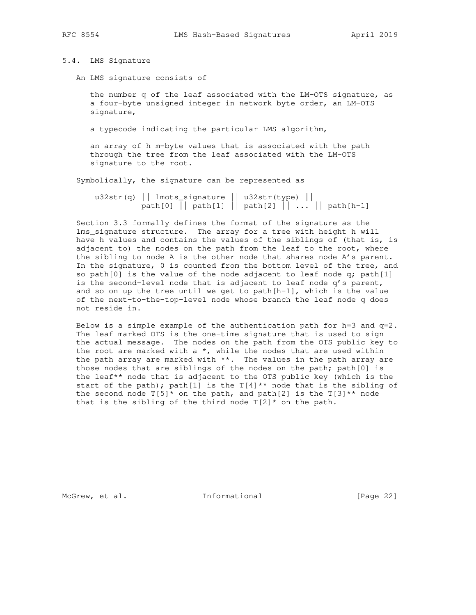## 5.4. LMS Signature

An LMS signature consists of

 the number q of the leaf associated with the LM-OTS signature, as a four-byte unsigned integer in network byte order, an LM-OTS signature,

a typecode indicating the particular LMS algorithm,

 an array of h m-byte values that is associated with the path through the tree from the leaf associated with the LM-OTS signature to the root.

Symbolically, the signature can be represented as

 u32str(q) || lmots\_signature || u32str(type) || path[0] || path[1] || path[2] || ... || path[h-1]

 Section 3.3 formally defines the format of the signature as the lms\_signature structure. The array for a tree with height h will have h values and contains the values of the siblings of (that is, is adjacent to) the nodes on the path from the leaf to the root, where the sibling to node A is the other node that shares node A's parent. In the signature, 0 is counted from the bottom level of the tree, and so path[0] is the value of the node adjacent to leaf node  $q$ ; path[1] is the second-level node that is adjacent to leaf node q's parent, and so on up the tree until we get to path[h-1], which is the value of the next-to-the-top-level node whose branch the leaf node q does not reside in.

Below is a simple example of the authentication path for  $h=3$  and  $q=2$ . The leaf marked OTS is the one-time signature that is used to sign the actual message. The nodes on the path from the OTS public key to the root are marked with a  $*$ , while the nodes that are used within the path array are marked with  $**$ . The values in the path array are those nodes that are siblings of the nodes on the path; path[0] is the leaf\*\* node that is adjacent to the OTS public key (which is the start of the path); path[1] is the  $T[4]^{**}$  node that is the sibling of the second node  $T[5]^*$  on the path, and path[2] is the  $T[3]^{**}$  node that is the sibling of the third node  $T[2]$ \* on the path.

McGrew, et al. 1nformational [Page 22]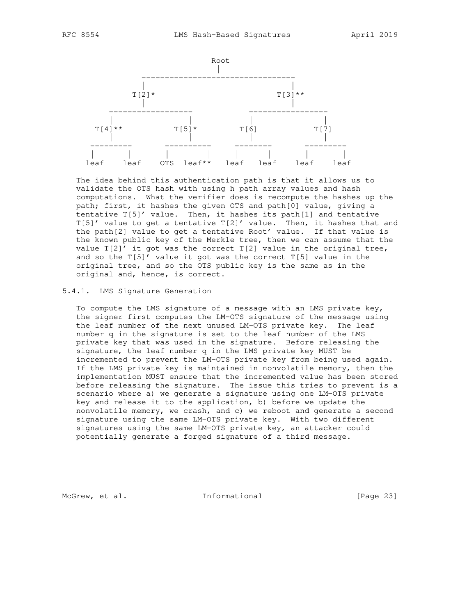

 The idea behind this authentication path is that it allows us to validate the OTS hash with using h path array values and hash computations. What the verifier does is recompute the hashes up the path; first, it hashes the given OTS and path[0] value, giving a tentative T[5]' value. Then, it hashes its path[1] and tentative T[5]' value to get a tentative T[2]' value. Then, it hashes that and the path[2] value to get a tentative Root' value. If that value is the known public key of the Merkle tree, then we can assume that the value  $T[2]'$  it got was the correct  $T[2]$  value in the original tree, and so the T[5]' value it got was the correct T[5] value in the original tree, and so the OTS public key is the same as in the original and, hence, is correct.

#### 5.4.1. LMS Signature Generation

 To compute the LMS signature of a message with an LMS private key, the signer first computes the LM-OTS signature of the message using the leaf number of the next unused LM-OTS private key. The leaf number q in the signature is set to the leaf number of the LMS private key that was used in the signature. Before releasing the signature, the leaf number q in the LMS private key MUST be incremented to prevent the LM-OTS private key from being used again. If the LMS private key is maintained in nonvolatile memory, then the implementation MUST ensure that the incremented value has been stored before releasing the signature. The issue this tries to prevent is a scenario where a) we generate a signature using one LM-OTS private key and release it to the application, b) before we update the nonvolatile memory, we crash, and c) we reboot and generate a second signature using the same LM-OTS private key. With two different signatures using the same LM-OTS private key, an attacker could potentially generate a forged signature of a third message.

McGrew, et al. 1nformational [Page 23]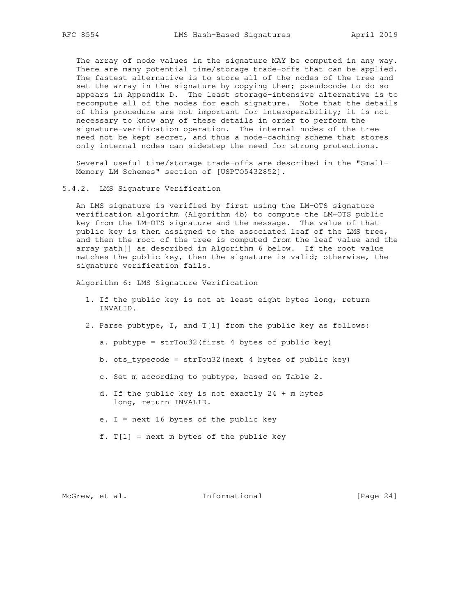The array of node values in the signature MAY be computed in any way. There are many potential time/storage trade-offs that can be applied. The fastest alternative is to store all of the nodes of the tree and set the array in the signature by copying them; pseudocode to do so appears in Appendix D. The least storage-intensive alternative is to recompute all of the nodes for each signature. Note that the details of this procedure are not important for interoperability; it is not necessary to know any of these details in order to perform the signature-verification operation. The internal nodes of the tree need not be kept secret, and thus a node-caching scheme that stores only internal nodes can sidestep the need for strong protections.

 Several useful time/storage trade-offs are described in the "Small- Memory LM Schemes" section of [USPTO5432852].

5.4.2. LMS Signature Verification

 An LMS signature is verified by first using the LM-OTS signature verification algorithm (Algorithm 4b) to compute the LM-OTS public key from the LM-OTS signature and the message. The value of that public key is then assigned to the associated leaf of the LMS tree, and then the root of the tree is computed from the leaf value and the array path[] as described in Algorithm 6 below. If the root value matches the public key, then the signature is valid; otherwise, the signature verification fails.

Algorithm 6: LMS Signature Verification

- 1. If the public key is not at least eight bytes long, return INVALID.
- 2. Parse pubtype, I, and T[1] from the public key as follows:
	- a. pubtype = strTou32(first 4 bytes of public key)
	- b. ots\_typecode = strTou32(next 4 bytes of public key)
	- c. Set m according to pubtype, based on Table 2.
	- d. If the public key is not exactly 24 + m bytes long, return INVALID.
	- e. I = next 16 bytes of the public key
	- f.  $T[1]$  = next m bytes of the public key

McGrew, et al. 1nformational [Page 24]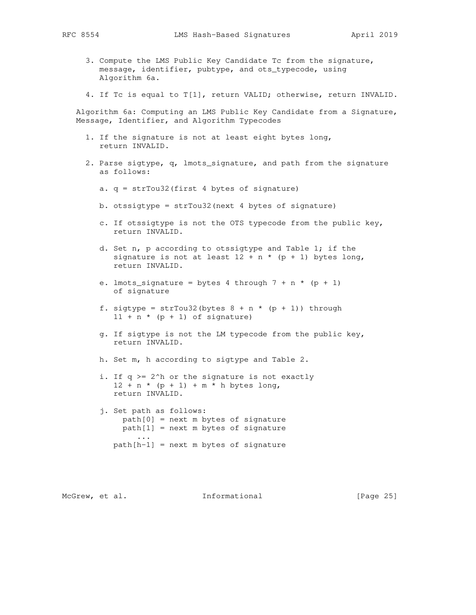- 3. Compute the LMS Public Key Candidate Tc from the signature, message, identifier, pubtype, and ots\_typecode, using Algorithm 6a.
- 4. If Tc is equal to T[1], return VALID; otherwise, return INVALID.

 Algorithm 6a: Computing an LMS Public Key Candidate from a Signature, Message, Identifier, and Algorithm Typecodes

- 1. If the signature is not at least eight bytes long, return INVALID.
- 2. Parse sigtype, q, lmots\_signature, and path from the signature as follows:
	- a. q = strTou32(first 4 bytes of signature)
	- b. otssigtype = strTou32(next 4 bytes of signature)
	- c. If otssigtype is not the OTS typecode from the public key, return INVALID.
	- d. Set n, p according to otssigtype and Table 1; if the signature is not at least  $12 + n * (p + 1)$  bytes long, return INVALID.
	- e. lmots\_signature = bytes 4 through  $7 + n * (p + 1)$ of signature
	- f. sigtype = strTou32(bytes  $8 + n * (p + 1)$ ) through  $11 + n * (p + 1)$  of signature)
	- g. If sigtype is not the LM typecode from the public key, return INVALID.

h. Set m, h according to sigtype and Table 2.

- i. If q >= 2^h or the signature is not exactly  $12 + n * (p + 1) + m * h$  bytes long, return INVALID.
- j. Set path as follows: path[0] = next m bytes of signature  $path[1] = next m bytes of signature$  ... path[h-1] = next m bytes of signature

McGrew, et al. 1nformational [Page 25]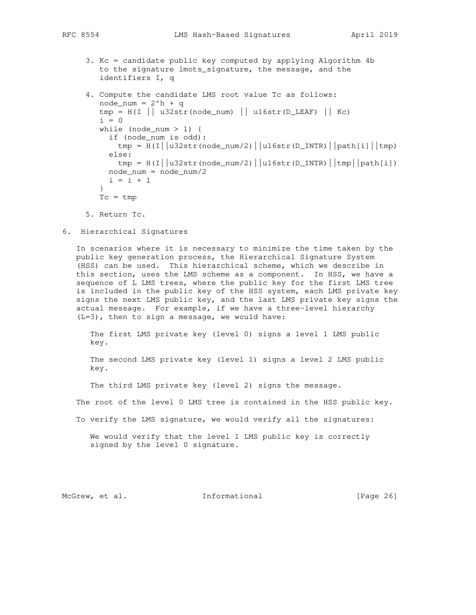3. Kc = candidate public key computed by applying Algorithm 4b to the signature lmots\_signature, the message, and the identifiers I, q

```
 4. Compute the candidate LMS root value Tc as follows:
       node\_num = 2^h + qtmp = H(I || u32str(node_name) || u16str(D_LEAF) || Kc)i = 0while (node_num > 1) {
          if (node_num is odd):
           tmp = H(I||u32str(node_number/2)||u16str(D_INTR)||path[i]|tmp) else:
           tmp = H(I||u32str(node_number/2)||u16str(D_INTR)||tmp||path[i]) node_num = node_num/2
         i = i + 1 }
       Tc = tmp
```
- 5. Return Tc.
- 6. Hierarchical Signatures

 In scenarios where it is necessary to minimize the time taken by the public key generation process, the Hierarchical Signature System (HSS) can be used. This hierarchical scheme, which we describe in this section, uses the LMS scheme as a component. In HSS, we have a sequence of L LMS trees, where the public key for the first LMS tree is included in the public key of the HSS system, each LMS private key signs the next LMS public key, and the last LMS private key signs the actual message. For example, if we have a three-level hierarchy (L=3), then to sign a message, we would have:

 The first LMS private key (level 0) signs a level 1 LMS public key.

 The second LMS private key (level 1) signs a level 2 LMS public key.

The third LMS private key (level 2) signs the message.

The root of the level 0 LMS tree is contained in the HSS public key.

To verify the LMS signature, we would verify all the signatures:

 We would verify that the level 1 LMS public key is correctly signed by the level 0 signature.

McGrew, et al. 1nformational [Page 26]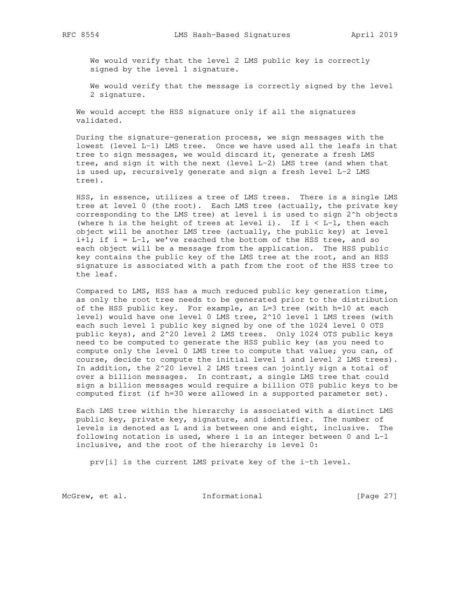We would verify that the level 2 LMS public key is correctly signed by the level 1 signature.

 We would verify that the message is correctly signed by the level 2 signature.

 We would accept the HSS signature only if all the signatures validated.

 During the signature-generation process, we sign messages with the lowest (level L-1) LMS tree. Once we have used all the leafs in that tree to sign messages, we would discard it, generate a fresh LMS tree, and sign it with the next (level L-2) LMS tree (and when that is used up, recursively generate and sign a fresh level L-2 LMS tree).

 HSS, in essence, utilizes a tree of LMS trees. There is a single LMS tree at level 0 (the root). Each LMS tree (actually, the private key corresponding to the LMS tree) at level i is used to sign 2^h objects (where h is the height of trees at level i). If  $i < L-1$ , then each object will be another LMS tree (actually, the public key) at level i+1; if i =  $L-1$ , we've reached the bottom of the HSS tree, and so each object will be a message from the application. The HSS public key contains the public key of the LMS tree at the root, and an HSS signature is associated with a path from the root of the HSS tree to the leaf.

 Compared to LMS, HSS has a much reduced public key generation time, as only the root tree needs to be generated prior to the distribution of the HSS public key. For example, an L=3 tree (with h=10 at each level) would have one level 0 LMS tree, 2^10 level 1 LMS trees (with each such level 1 public key signed by one of the 1024 level 0 OTS public keys), and 2^20 level 2 LMS trees. Only 1024 OTS public keys need to be computed to generate the HSS public key (as you need to compute only the level 0 LMS tree to compute that value; you can, of course, decide to compute the initial level 1 and level 2 LMS trees). In addition, the 2^20 level 2 LMS trees can jointly sign a total of over a billion messages. In contrast, a single LMS tree that could sign a billion messages would require a billion OTS public keys to be computed first (if h=30 were allowed in a supported parameter set).

 Each LMS tree within the hierarchy is associated with a distinct LMS public key, private key, signature, and identifier. The number of levels is denoted as L and is between one and eight, inclusive. The following notation is used, where i is an integer between 0 and L-1 inclusive, and the root of the hierarchy is level 0:

prv[i] is the current LMS private key of the i-th level.

McGrew, et al. 1nformational [Page 27]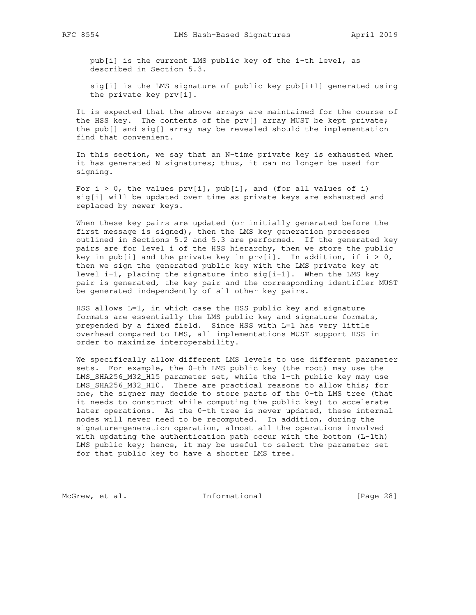pub[i] is the current LMS public key of the i-th level, as described in Section 5.3.

 sig[i] is the LMS signature of public key pub[i+1] generated using the private key prv[i].

 It is expected that the above arrays are maintained for the course of the HSS key. The contents of the prv[] array MUST be kept private; the pub[] and sig[] array may be revealed should the implementation find that convenient.

 In this section, we say that an N-time private key is exhausted when it has generated N signatures; thus, it can no longer be used for signing.

For  $i > 0$ , the values  $prv[i]$ ,  $pub[i]$ , and (for all values of i) sig[i] will be updated over time as private keys are exhausted and replaced by newer keys.

 When these key pairs are updated (or initially generated before the first message is signed), then the LMS key generation processes outlined in Sections 5.2 and 5.3 are performed. If the generated key pairs are for level i of the HSS hierarchy, then we store the public key in pub[i] and the private key in  $prv[i]$ . In addition, if  $i > 0$ , then we sign the generated public key with the LMS private key at level  $i-1$ , placing the signature into  $sig[i-1]$ . When the LMS key pair is generated, the key pair and the corresponding identifier MUST be generated independently of all other key pairs.

HSS allows  $L=1$ , in which case the HSS public key and signature formats are essentially the LMS public key and signature formats, prepended by a fixed field. Since HSS with L=1 has very little overhead compared to LMS, all implementations MUST support HSS in order to maximize interoperability.

 We specifically allow different LMS levels to use different parameter sets. For example, the 0-th LMS public key (the root) may use the LMS\_SHA256\_M32\_H15 parameter set, while the 1-th public key may use LMS\_SHA256\_M32\_H10. There are practical reasons to allow this; for one, the signer may decide to store parts of the 0-th LMS tree (that it needs to construct while computing the public key) to accelerate later operations. As the 0-th tree is never updated, these internal nodes will never need to be recomputed. In addition, during the signature-generation operation, almost all the operations involved with updating the authentication path occur with the bottom (L-1th) LMS public key; hence, it may be useful to select the parameter set for that public key to have a shorter LMS tree.

McGrew, et al. 1nformational [Page 28]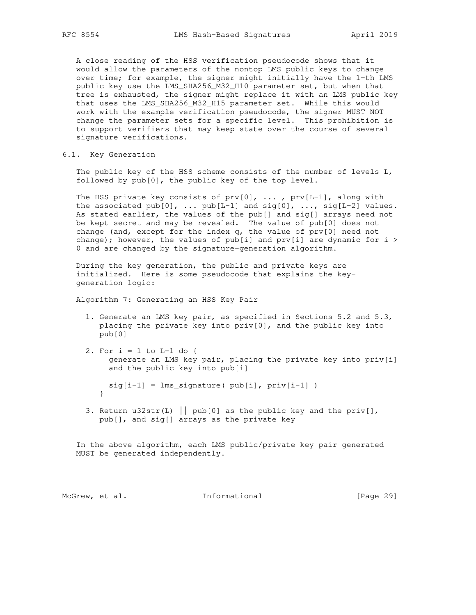A close reading of the HSS verification pseudocode shows that it would allow the parameters of the nontop LMS public keys to change over time; for example, the signer might initially have the 1-th LMS public key use the LMS\_SHA256\_M32\_H10 parameter set, but when that tree is exhausted, the signer might replace it with an LMS public key that uses the LMS\_SHA256\_M32\_H15 parameter set. While this would work with the example verification pseudocode, the signer MUST NOT change the parameter sets for a specific level. This prohibition is to support verifiers that may keep state over the course of several signature verifications.

6.1. Key Generation

 The public key of the HSS scheme consists of the number of levels L, followed by pub[0], the public key of the top level.

The HSS private key consists of  $prv[0]$ , ...,  $prv[L-1]$ , along with the associated  $pub[0]$ , ...  $pub[L-1]$  and  $sig[0]$ , ...,  $sig[L-2]$  values. As stated earlier, the values of the pub[] and sig[] arrays need not be kept secret and may be revealed. The value of pub[0] does not change (and, except for the index  $q$ , the value of  $prv[0]$  need not change); however, the values of  $pub[i]$  and  $prv[i]$  are dynamic for  $i >$ 0 and are changed by the signature-generation algorithm.

 During the key generation, the public and private keys are initialized. Here is some pseudocode that explains the key generation logic:

Algorithm 7: Generating an HSS Key Pair

- 1. Generate an LMS key pair, as specified in Sections 5.2 and 5.3, placing the private key into priv[0], and the public key into pub[0]
- 2. For  $i = 1$  to  $L-1$  do { generate an LMS key pair, placing the private key into priv[i] and the public key into pub[i]

 $sig[i-1] = lms\_signature( pub[i], priv[i-1])$ }

3. Return u32str(L) | pub[0] as the public key and the priv[], pub[], and sig[] arrays as the private key

 In the above algorithm, each LMS public/private key pair generated MUST be generated independently.

McGrew, et al. 1nformational [Page 29]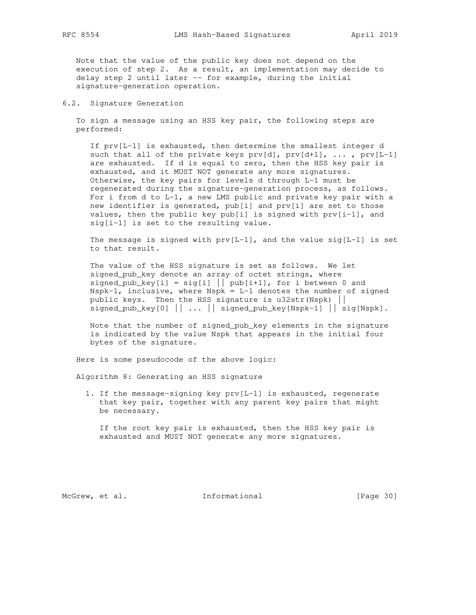Note that the value of the public key does not depend on the execution of step 2. As a result, an implementation may decide to delay step 2 until later -- for example, during the initial signature-generation operation.

### 6.2. Signature Generation

 To sign a message using an HSS key pair, the following steps are performed:

 If prv[L-1] is exhausted, then determine the smallest integer d such that all of the private keys  $prv[d], prv[d+1], ...$ ,  $prv[L-1]$  are exhausted. If d is equal to zero, then the HSS key pair is exhausted, and it MUST NOT generate any more signatures. Otherwise, the key pairs for levels d through L-1 must be regenerated during the signature-generation process, as follows. For i from d to L-1, a new LMS public and private key pair with a new identifier is generated, pub[i] and prv[i] are set to those values, then the public key pub[i] is signed with  $prv[i-1]$ , and sig[i-1] is set to the resulting value.

The message is signed with  $prv[L-1]$ , and the value sig[L-1] is set to that result.

 The value of the HSS signature is set as follows. We let signed\_pub\_key denote an array of octet strings, where signed\_pub\_key[i] = sig[i]  $\vert \vert$  pub[i+1], for i between 0 and Nspk-1, inclusive, where  $Nspk = L-1$  denotes the number of signed public keys. Then the HSS signature is u32str(Nspk) || signed\_pub\_key[0]  $|| ... ||$  signed\_pub\_key[Nspk-1]  $||$  sig[Nspk].

 Note that the number of signed\_pub\_key elements in the signature is indicated by the value Nspk that appears in the initial four bytes of the signature.

Here is some pseudocode of the above logic:

Algorithm 8: Generating an HSS signature

 1. If the message-signing key prv[L-1] is exhausted, regenerate that key pair, together with any parent key pairs that might be necessary.

 If the root key pair is exhausted, then the HSS key pair is exhausted and MUST NOT generate any more signatures.

McGrew, et al. 1nformational [Page 30]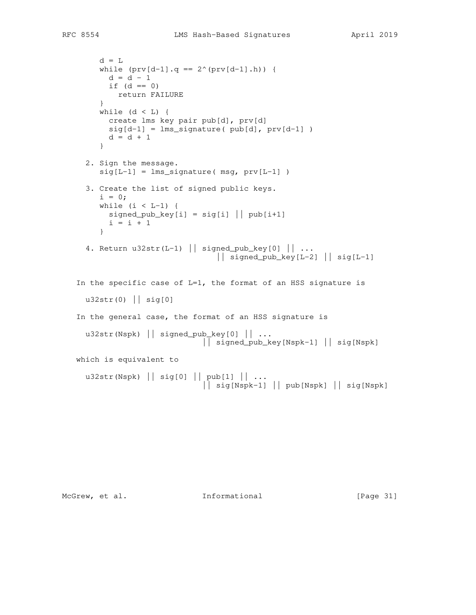```
d = Lwhile (prv[d-1].q == 2^(prv[d-1].h)) {
      d = d - 1if (d == 0) return FAILURE
      }
     while (d < L) {
       create lms key pair pub[d], prv[d]
      sig[d-1] = lms\_signature( pub[d], prv[d-1])d = d + 1 }
   2. Sign the message.
     sig[L-1] = lms\_signature( msg, prv[L-1] ) 3. Create the list of signed public keys.
     i = 0;while (i < L-1) {
      signal\_pub\_key[i] = sig[i] || pub[i+1]i = i + 1 }
  4. Return u32str(L-1) || signed_pub_key[0] || ...
                               || signed_pub_key[L-2] || sig[L-1]
In the specific case of L=1, the format of an HSS signature is
 u32str(0) || sig[0]
 In the general case, the format of an HSS signature is
  u32str(Nspk) || signed_pub_key[0] || ...
                            || signed_pub_key[Nspk-1] || sig[Nspk]
 which is equivalent to
   u32str(Nspk) || sig[0] || pub[1] || ...
                             || sig[Nspk-1] || pub[Nspk] || sig[Nspk]
```
McGrew, et al. 1nformational [Page 31]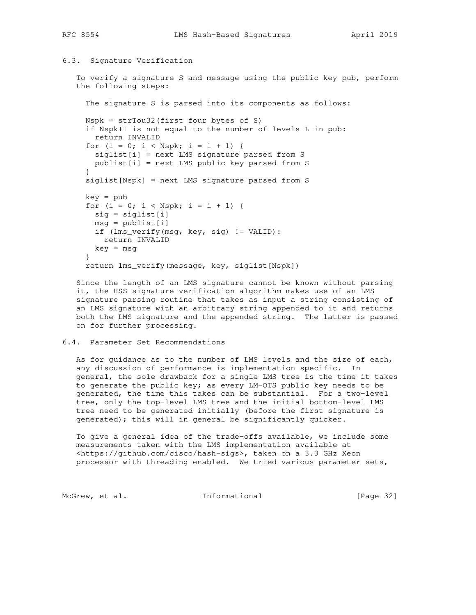## 6.3. Signature Verification

 To verify a signature S and message using the public key pub, perform the following steps:

 The signature S is parsed into its components as follows: Nspk = strTou32(first four bytes of S) if Nspk+1 is not equal to the number of levels L in pub: return INVALID for  $(i = 0; i < Nspk; i = i + 1)$  { siglist[i] = next LMS signature parsed from S publist[i] = next LMS public key parsed from S } siglist[Nspk] = next LMS signature parsed from S key = pub for  $(i = 0; i < Nspk; i = i + 1)$  { sig = siglist[i]  $msg = publist[i]$  if (lms\_verify(msg, key, sig) != VALID): return INVALID key = msg } return lms\_verify(message, key, siglist[Nspk])

 Since the length of an LMS signature cannot be known without parsing it, the HSS signature verification algorithm makes use of an LMS signature parsing routine that takes as input a string consisting of an LMS signature with an arbitrary string appended to it and returns both the LMS signature and the appended string. The latter is passed on for further processing.

## 6.4. Parameter Set Recommendations

 As for guidance as to the number of LMS levels and the size of each, any discussion of performance is implementation specific. In general, the sole drawback for a single LMS tree is the time it takes to generate the public key; as every LM-OTS public key needs to be generated, the time this takes can be substantial. For a two-level tree, only the top-level LMS tree and the initial bottom-level LMS tree need to be generated initially (before the first signature is generated); this will in general be significantly quicker.

 To give a general idea of the trade-offs available, we include some measurements taken with the LMS implementation available at <https://github.com/cisco/hash-sigs>, taken on a 3.3 GHz Xeon processor with threading enabled. We tried various parameter sets,

McGrew, et al. 1nformational [Page 32]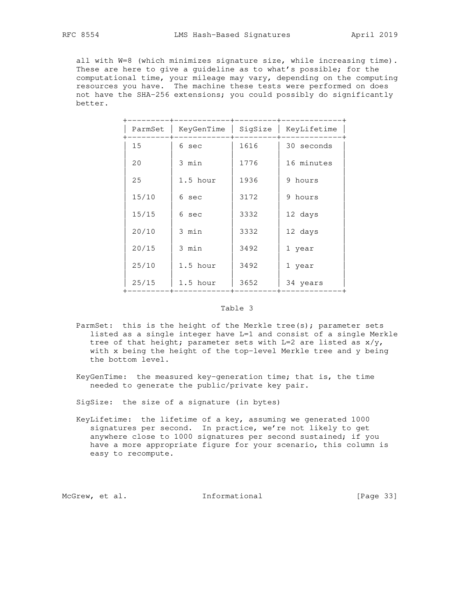all with W=8 (which minimizes signature size, while increasing time). These are here to give a guideline as to what's possible; for the computational time, your mileage may vary, depending on the computing resources you have. The machine these tests were performed on does not have the SHA-256 extensions; you could possibly do significantly better.

| ParmSet | KeyGenTime | SigSize | KeyLifetime |
|---------|------------|---------|-------------|
| 15      | 6 sec      | 1616    | 30 seconds  |
| 20      | 3 min      | 1776    | 16 minutes  |
| 25      | 1.5 hour   | 1936    | 9 hours     |
| 15/10   | 6 sec      | 3172    | 9 hours     |
| 15/15   | 6 sec      | 3332    | 12 days     |
| 20/10   | 3 min      | 3332    | 12 days     |
| 20/15   | 3 min      | 3492    | 1 year      |
| 25/10   | 1.5 hour   | 3492    | 1 year      |
| 25/15   | 1.5 hour   | 3652    | 34 years    |
|         |            |         |             |

### Table 3

- ParmSet: this is the height of the Merkle tree(s); parameter sets listed as a single integer have L=1 and consist of a single Merkle tree of that height; parameter sets with  $L=2$  are listed as  $x/y$ , with x being the height of the top-level Merkle tree and y being the bottom level.
- KeyGenTime: the measured key-generation time; that is, the time needed to generate the public/private key pair.

SigSize: the size of a signature (in bytes)

 KeyLifetime: the lifetime of a key, assuming we generated 1000 signatures per second. In practice, we're not likely to get anywhere close to 1000 signatures per second sustained; if you have a more appropriate figure for your scenario, this column is easy to recompute.

McGrew, et al. 1nformational [Page 33]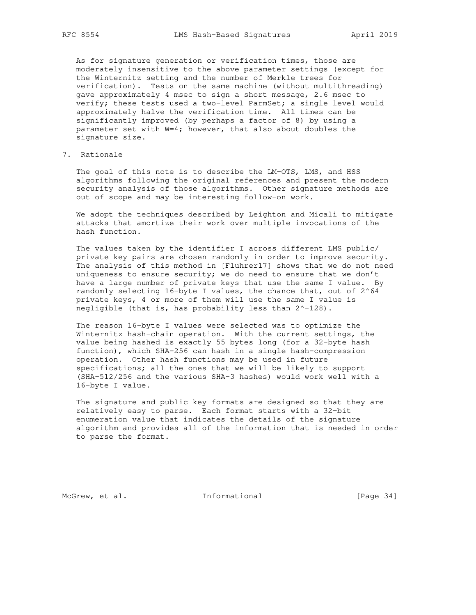As for signature generation or verification times, those are moderately insensitive to the above parameter settings (except for the Winternitz setting and the number of Merkle trees for verification). Tests on the same machine (without multithreading) gave approximately 4 msec to sign a short message, 2.6 msec to verify; these tests used a two-level ParmSet; a single level would approximately halve the verification time. All times can be significantly improved (by perhaps a factor of 8) by using a parameter set with W=4; however, that also about doubles the signature size.

# 7. Rationale

The goal of this note is to describe the LM-OTS, LMS, and HSS algorithms following the original references and present the modern security analysis of those algorithms. Other signature methods are out of scope and may be interesting follow-on work.

 We adopt the techniques described by Leighton and Micali to mitigate attacks that amortize their work over multiple invocations of the hash function.

 The values taken by the identifier I across different LMS public/ private key pairs are chosen randomly in order to improve security. The analysis of this method in [Fluhrer17] shows that we do not need uniqueness to ensure security; we do need to ensure that we don't have a large number of private keys that use the same I value. By randomly selecting 16-byte I values, the chance that, out of 2^64 private keys, 4 or more of them will use the same I value is negligible (that is, has probability less than 2^-128).

 The reason 16-byte I values were selected was to optimize the Winternitz hash-chain operation. With the current settings, the value being hashed is exactly 55 bytes long (for a 32-byte hash function), which SHA-256 can hash in a single hash-compression operation. Other hash functions may be used in future specifications; all the ones that we will be likely to support (SHA-512/256 and the various SHA-3 hashes) would work well with a 16-byte I value.

 The signature and public key formats are designed so that they are relatively easy to parse. Each format starts with a 32-bit enumeration value that indicates the details of the signature algorithm and provides all of the information that is needed in order to parse the format.

McGrew, et al. 1nformational [Page 34]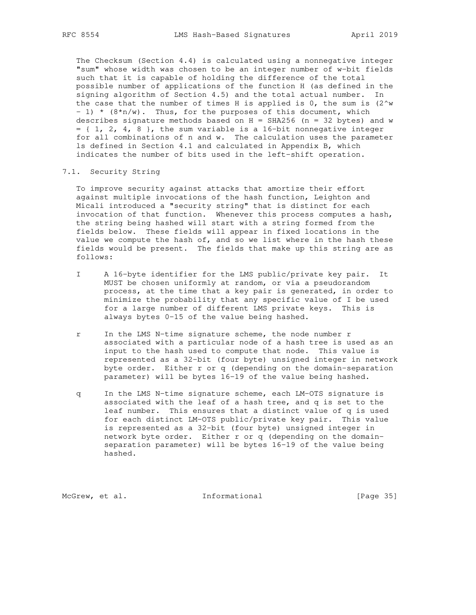The Checksum (Section 4.4) is calculated using a nonnegative integer "sum" whose width was chosen to be an integer number of w-bit fields such that it is capable of holding the difference of the total possible number of applications of the function H (as defined in the signing algorithm of Section 4.5) and the total actual number. In the case that the number of times H is applied is  $0$ , the sum is  $(2^w w)$ - 1) \*  $(8*n/w)$ . Thus, for the purposes of this document, which describes signature methods based on  $H = SHA256$  (n = 32 bytes) and w  $= \{ 1, 2, 4, 8 \}$ , the sum variable is a 16-bit nonnegative integer for all combinations of n and w. The calculation uses the parameter ls defined in Section 4.1 and calculated in Appendix B, which indicates the number of bits used in the left-shift operation.

### 7.1. Security String

 To improve security against attacks that amortize their effort against multiple invocations of the hash function, Leighton and Micali introduced a "security string" that is distinct for each invocation of that function. Whenever this process computes a hash, the string being hashed will start with a string formed from the fields below. These fields will appear in fixed locations in the value we compute the hash of, and so we list where in the hash these fields would be present. The fields that make up this string are as follows:

- I A 16-byte identifier for the LMS public/private key pair. It MUST be chosen uniformly at random, or via a pseudorandom process, at the time that a key pair is generated, in order to minimize the probability that any specific value of I be used for a large number of different LMS private keys. This is always bytes 0-15 of the value being hashed.
- r In the LMS N-time signature scheme, the node number r associated with a particular node of a hash tree is used as an input to the hash used to compute that node. This value is represented as a 32-bit (four byte) unsigned integer in network byte order. Either r or q (depending on the domain-separation parameter) will be bytes 16-19 of the value being hashed.
- q In the LMS N-time signature scheme, each LM-OTS signature is associated with the leaf of a hash tree, and q is set to the leaf number. This ensures that a distinct value of q is used for each distinct LM-OTS public/private key pair. This value is represented as a 32-bit (four byte) unsigned integer in network byte order. Either r or q (depending on the domain separation parameter) will be bytes 16-19 of the value being hashed.

McGrew, et al. 1nformational [Page 35]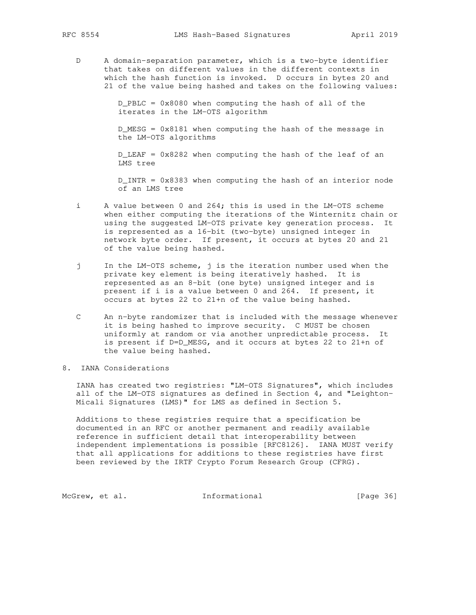D A domain-separation parameter, which is a two-byte identifier that takes on different values in the different contexts in which the hash function is invoked. D occurs in bytes 20 and 21 of the value being hashed and takes on the following values:

> D\_PBLC = 0x8080 when computing the hash of all of the iterates in the LM-OTS algorithm

 D\_MESG = 0x8181 when computing the hash of the message in the LM-OTS algorithms

 D\_LEAF = 0x8282 when computing the hash of the leaf of an LMS tree

 D\_INTR = 0x8383 when computing the hash of an interior node of an LMS tree

- i A value between 0 and 264; this is used in the LM-OTS scheme when either computing the iterations of the Winternitz chain or using the suggested LM-OTS private key generation process. It is represented as a 16-bit (two-byte) unsigned integer in network byte order. If present, it occurs at bytes 20 and 21 of the value being hashed.
- j In the LM-OTS scheme, j is the iteration number used when the private key element is being iteratively hashed. It is represented as an 8-bit (one byte) unsigned integer and is present if i is a value between 0 and 264. If present, it occurs at bytes 22 to 21+n of the value being hashed.
- C An n-byte randomizer that is included with the message whenever it is being hashed to improve security. C MUST be chosen uniformly at random or via another unpredictable process. It is present if D=D\_MESG, and it occurs at bytes 22 to 21+n of the value being hashed.
- 8. IANA Considerations

 IANA has created two registries: "LM-OTS Signatures", which includes all of the LM-OTS signatures as defined in Section 4, and "Leighton- Micali Signatures (LMS)" for LMS as defined in Section 5.

 Additions to these registries require that a specification be documented in an RFC or another permanent and readily available reference in sufficient detail that interoperability between independent implementations is possible [RFC8126]. IANA MUST verify that all applications for additions to these registries have first been reviewed by the IRTF Crypto Forum Research Group (CFRG).

McGrew, et al. 1nformational [Page 36]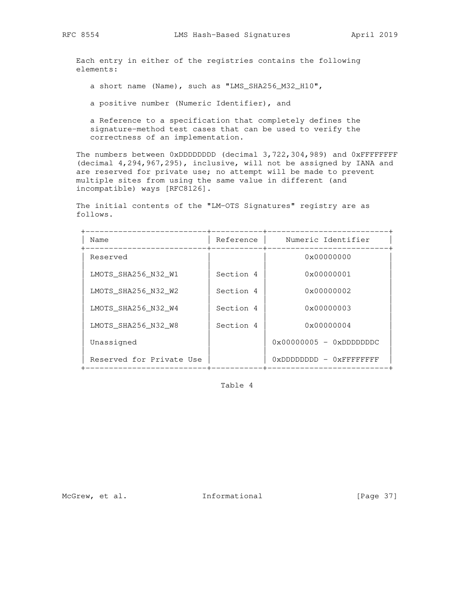Each entry in either of the registries contains the following elements:

a short name (Name), such as "LMS\_SHA256\_M32\_H10",

a positive number (Numeric Identifier), and

 a Reference to a specification that completely defines the signature-method test cases that can be used to verify the correctness of an implementation.

 The numbers between 0xDDDDDDDD (decimal 3,722,304,989) and 0xFFFFFFFF (decimal 4,294,967,295), inclusive, will not be assigned by IANA and are reserved for private use; no attempt will be made to prevent multiple sites from using the same value in different (and incompatible) ways [RFC8126].

 The initial contents of the "LM-OTS Signatures" registry are as follows.

| Name                     | Reference | Numeric Identifier             |
|--------------------------|-----------|--------------------------------|
| Reserved                 |           | $0 \times 00000000$            |
| LMOTS SHA256 N32 W1      | Section 4 | $0 \times 00000001$            |
| LMOTS SHA256 N32 W2      | Section 4 | $0 \times 00000002$            |
| LMOTS SHA256 N32 W4      | Section 4 | $0 \times 00000003$            |
| LMOTS SHA256 N32 W8      | Section 4 | $0 \times 00000004$            |
| Unassigned               |           | $0x00000005 - 0xDDDDDDCC$      |
| Reserved for Private Use |           | $0x$ DDDDDDDD - $0x$ FFFFFFFFF |

Table 4

McGrew, et al. 1nformational [Page 37]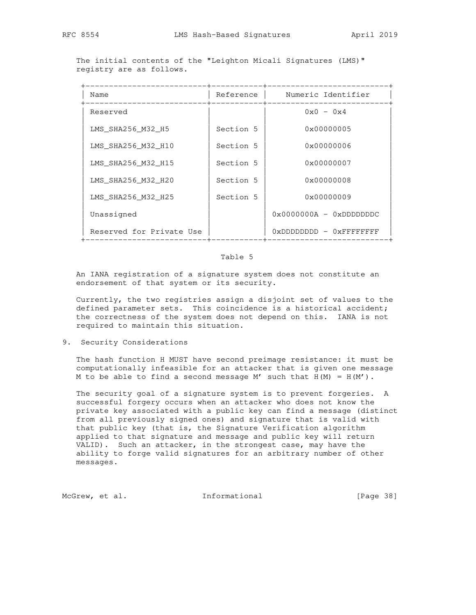The initial contents of the "Leighton Micali Signatures (LMS)" registry are as follows.

| Name                     | Reference | Numeric Identifier        |
|--------------------------|-----------|---------------------------|
| Reserved                 |           | $0x0 - 0x4$               |
| LMS SHA256 M32 H5        | Section 5 | 0x00000005                |
| LMS SHA256 M32 H10       | Section 5 | 0x00000006                |
| LMS SHA256 M32 H15       | Section 5 | $0 \times 00000007$       |
| LMS SHA256 M32 H20       | Section 5 | 0x00000008                |
| LMS SHA256 M32 H25       | Section 5 | $0 \times 00000009$       |
| Unassigned               |           | $0x0000000A - 0xDDDDDDC$  |
| Reserved for Private Use |           | $0xDDDDDDDD - 0xFFFFFFFF$ |

#### Table 5

 An IANA registration of a signature system does not constitute an endorsement of that system or its security.

 Currently, the two registries assign a disjoint set of values to the defined parameter sets. This coincidence is a historical accident; the correctness of the system does not depend on this. IANA is not required to maintain this situation.

9. Security Considerations

 The hash function H MUST have second preimage resistance: it must be computationally infeasible for an attacker that is given one message M to be able to find a second message M' such that  $H(M) = H(M')$ .

 The security goal of a signature system is to prevent forgeries. A successful forgery occurs when an attacker who does not know the private key associated with a public key can find a message (distinct from all previously signed ones) and signature that is valid with that public key (that is, the Signature Verification algorithm applied to that signature and message and public key will return VALID). Such an attacker, in the strongest case, may have the ability to forge valid signatures for an arbitrary number of other messages.

McGrew, et al. 1nformational [Page 38]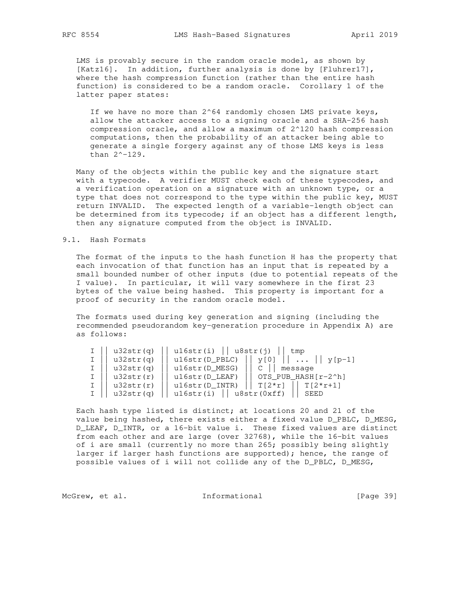LMS is provably secure in the random oracle model, as shown by [Katz16]. In addition, further analysis is done by [Fluhrer17], where the hash compression function (rather than the entire hash function) is considered to be a random oracle. Corollary 1 of the latter paper states:

If we have no more than  $2^64$  randomly chosen LMS private keys, allow the attacker access to a signing oracle and a SHA-256 hash compression oracle, and allow a maximum of 2^120 hash compression computations, then the probability of an attacker being able to generate a single forgery against any of those LMS keys is less than 2^-129.

 Many of the objects within the public key and the signature start with a typecode. A verifier MUST check each of these typecodes, and a verification operation on a signature with an unknown type, or a type that does not correspond to the type within the public key, MUST return INVALID. The expected length of a variable-length object can be determined from its typecode; if an object has a different length, then any signature computed from the object is INVALID.

#### 9.1. Hash Formats

 The format of the inputs to the hash function H has the property that each invocation of that function has an input that is repeated by a small bounded number of other inputs (due to potential repeats of the I value). In particular, it will vary somewhere in the first 23 bytes of the value being hashed. This property is important for a proof of security in the random oracle model.

 The formats used during key generation and signing (including the recommended pseudorandom key-generation procedure in Appendix A) are as follows:

| u32str(q) | $ul6str(i)$      | u8str(j)<br>tmp            |
|-----------|------------------|----------------------------|
| u32str(q) | $u16str(D_PBLC)$ | $\cdots$    y[p-1]<br>v[0] |
| u32str(q) | $u16str(D_MESG)$ | message                    |
| u32str(r) | $u16str(D_LEAF)$ | OTS PUB HASH[r-2^h]        |
| u32str(r) | u16str(D INTR)   | $T[2*r]$<br>$T[2*r+1]$     |
| u32str(q) | u16str(i)        | $  $ u8str(0xff)<br>SEED   |

 Each hash type listed is distinct; at locations 20 and 21 of the value being hashed, there exists either a fixed value D\_PBLC, D\_MESG, D\_LEAF, D\_INTR, or a 16-bit value i. These fixed values are distinct from each other and are large (over 32768), while the 16-bit values of i are small (currently no more than 265; possibly being slightly larger if larger hash functions are supported); hence, the range of possible values of i will not collide any of the D\_PBLC, D\_MESG,

McGrew, et al. 1nformational [Page 39]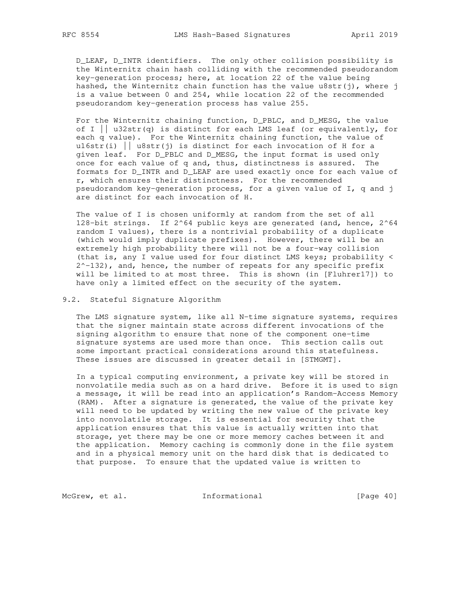D\_LEAF, D\_INTR identifiers. The only other collision possibility is the Winternitz chain hash colliding with the recommended pseudorandom key-generation process; here, at location 22 of the value being hashed, the Winternitz chain function has the value  $\text{u8str}(j)$ , where j is a value between 0 and 254, while location 22 of the recommended pseudorandom key-generation process has value 255.

 For the Winternitz chaining function, D\_PBLC, and D\_MESG, the value of I  $\vert$  u32str(q) is distinct for each LMS leaf (or equivalently, for each q value). For the Winternitz chaining function, the value of u16str(i)  $||$  u8str(j) is distinct for each invocation of H for a given leaf. For D\_PBLC and D\_MESG, the input format is used only once for each value of q and, thus, distinctness is assured. The formats for D\_INTR and D\_LEAF are used exactly once for each value of r, which ensures their distinctness. For the recommended pseudorandom key-generation process, for a given value of I, q and j are distinct for each invocation of H.

 The value of I is chosen uniformly at random from the set of all 128-bit strings. If 2^64 public keys are generated (and, hence, 2^64 random I values), there is a nontrivial probability of a duplicate (which would imply duplicate prefixes). However, there will be an extremely high probability there will not be a four-way collision (that is, any I value used for four distinct LMS keys; probability <  $2^{\wedge}-132$ ), and, hence, the number of repeats for any specific prefix will be limited to at most three. This is shown (in [Fluhrer17]) to have only a limited effect on the security of the system.

#### 9.2. Stateful Signature Algorithm

 The LMS signature system, like all N-time signature systems, requires that the signer maintain state across different invocations of the signing algorithm to ensure that none of the component one-time signature systems are used more than once. This section calls out some important practical considerations around this statefulness. These issues are discussed in greater detail in [STMGMT].

 In a typical computing environment, a private key will be stored in nonvolatile media such as on a hard drive. Before it is used to sign a message, it will be read into an application's Random-Access Memory (RAM). After a signature is generated, the value of the private key will need to be updated by writing the new value of the private key into nonvolatile storage. It is essential for security that the application ensures that this value is actually written into that storage, yet there may be one or more memory caches between it and the application. Memory caching is commonly done in the file system and in a physical memory unit on the hard disk that is dedicated to that purpose. To ensure that the updated value is written to

McGrew, et al. 1nformational [Page 40]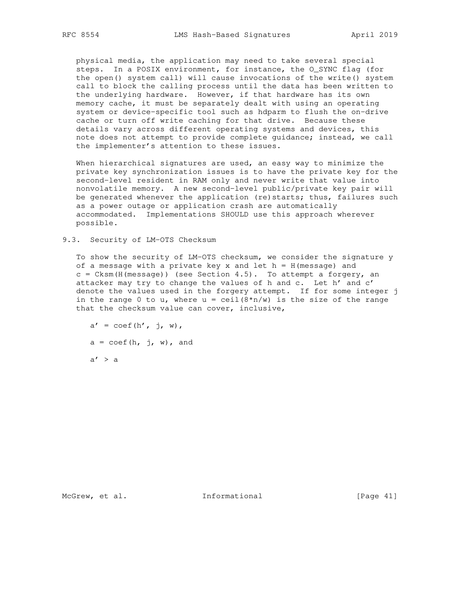physical media, the application may need to take several special steps. In a POSIX environment, for instance, the O\_SYNC flag (for the open() system call) will cause invocations of the write() system call to block the calling process until the data has been written to the underlying hardware. However, if that hardware has its own memory cache, it must be separately dealt with using an operating system or device-specific tool such as hdparm to flush the on-drive cache or turn off write caching for that drive. Because these details vary across different operating systems and devices, this note does not attempt to provide complete guidance; instead, we call the implementer's attention to these issues.

When hierarchical signatures are used, an easy way to minimize the private key synchronization issues is to have the private key for the second-level resident in RAM only and never write that value into nonvolatile memory. A new second-level public/private key pair will be generated whenever the application (re)starts; thus, failures such as a power outage or application crash are automatically accommodated. Implementations SHOULD use this approach wherever possible.

9.3. Security of LM-OTS Checksum

 To show the security of LM-OTS checksum, we consider the signature y of a message with a private key  $x$  and let  $h = H(m \text{ess} a q e)$  and c = Cksm(H(message)) (see Section 4.5). To attempt a forgery, an attacker may try to change the values of h and c. Let h' and c' denote the values used in the forgery attempt. If for some integer j in the range 0 to u, where  $u = \operatorname{ceil}(8*n/w)$  is the size of the range that the checksum value can cover, inclusive,

 $a' = \text{coeff}(h', j, w),$  $a = \text{coef}(h, j, w)$ , and  $a' > a$ 

McGrew, et al. 1nformational [Page 41]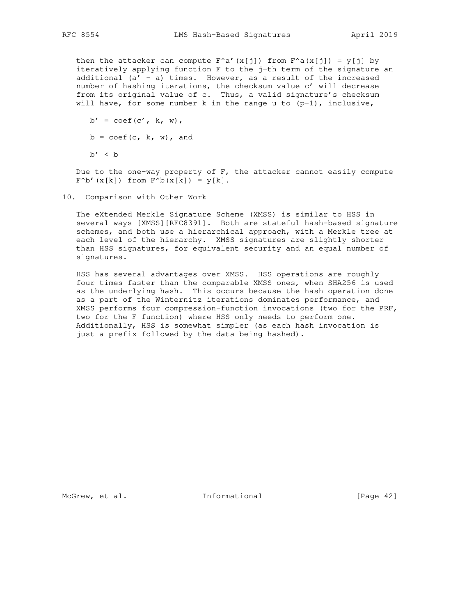then the attacker can compute  $F^{\wedge}a'(x[j])$  from  $F^{\wedge}a(x[j]) = y[j]$  by iteratively applying function F to the j-th term of the signature an additional  $(a' - a)$  times. However, as a result of the increased number of hashing iterations, the checksum value c' will decrease from its original value of c. Thus, a valid signature's checksum will have, for some number k in the range u to  $(p-1)$ , inclusive,

 $b' = \text{coef}(c', k, w),$  $b = \text{coef}(c, k, w)$ , and  $b' < b$ 

Due to the one-way property of F, the attacker cannot easily compute  $F^{\wedge}b'$  (x[k]) from  $F^{\wedge}b(x[k]) = y[k]$ .

10. Comparison with Other Work

 The eXtended Merkle Signature Scheme (XMSS) is similar to HSS in several ways [XMSS][RFC8391]. Both are stateful hash-based signature schemes, and both use a hierarchical approach, with a Merkle tree at each level of the hierarchy. XMSS signatures are slightly shorter than HSS signatures, for equivalent security and an equal number of signatures.

 HSS has several advantages over XMSS. HSS operations are roughly four times faster than the comparable XMSS ones, when SHA256 is used as the underlying hash. This occurs because the hash operation done as a part of the Winternitz iterations dominates performance, and XMSS performs four compression-function invocations (two for the PRF, two for the F function) where HSS only needs to perform one. Additionally, HSS is somewhat simpler (as each hash invocation is just a prefix followed by the data being hashed).

McGrew, et al. 1nformational [Page 42]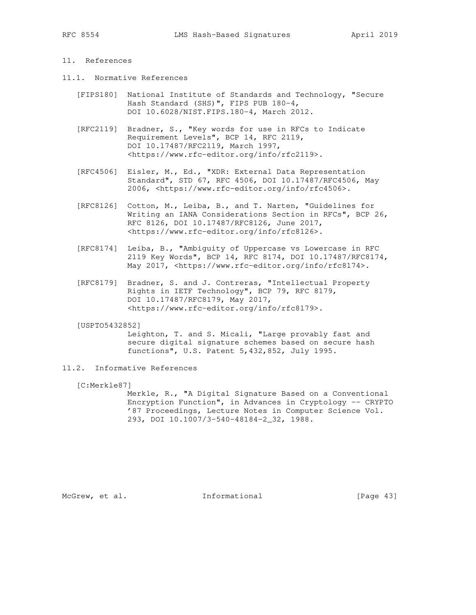## 11. References

- 11.1. Normative References
	- [FIPS180] National Institute of Standards and Technology, "Secure Hash Standard (SHS)", FIPS PUB 180-4, DOI 10.6028/NIST.FIPS.180-4, March 2012.
	- [RFC2119] Bradner, S., "Key words for use in RFCs to Indicate Requirement Levels", BCP 14, RFC 2119, DOI 10.17487/RFC2119, March 1997, <https://www.rfc-editor.org/info/rfc2119>.
- [RFC4506] Eisler, M., Ed., "XDR: External Data Representation Standard", STD 67, RFC 4506, DOI 10.17487/RFC4506, May 2006, <https://www.rfc-editor.org/info/rfc4506>.
	- [RFC8126] Cotton, M., Leiba, B., and T. Narten, "Guidelines for Writing an IANA Considerations Section in RFCs", BCP 26, RFC 8126, DOI 10.17487/RFC8126, June 2017, <https://www.rfc-editor.org/info/rfc8126>.
	- [RFC8174] Leiba, B., "Ambiguity of Uppercase vs Lowercase in RFC 2119 Key Words", BCP 14, RFC 8174, DOI 10.17487/RFC8174, May 2017, <https://www.rfc-editor.org/info/rfc8174>.
	- [RFC8179] Bradner, S. and J. Contreras, "Intellectual Property Rights in IETF Technology", BCP 79, RFC 8179, DOI 10.17487/RFC8179, May 2017, <https://www.rfc-editor.org/info/rfc8179>.

#### [USPTO5432852]

 Leighton, T. and S. Micali, "Large provably fast and secure digital signature schemes based on secure hash functions", U.S. Patent 5,432,852, July 1995.

11.2. Informative References

[C:Merkle87]

 Merkle, R., "A Digital Signature Based on a Conventional Encryption Function", in Advances in Cryptology -- CRYPTO '87 Proceedings, Lecture Notes in Computer Science Vol. 293, DOI 10.1007/3-540-48184-2\_32, 1988.

McGrew, et al. 1nformational [Page 43]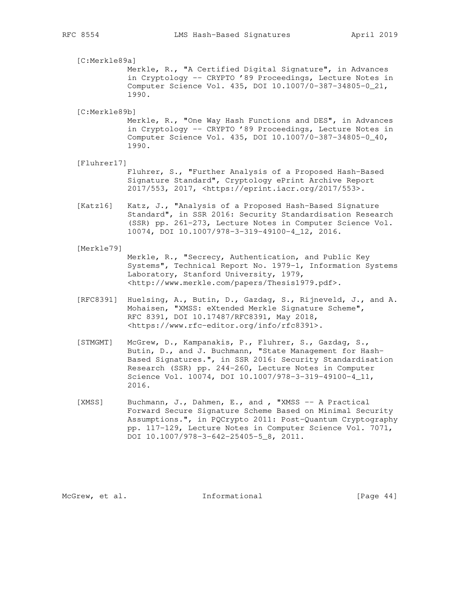[C:Merkle89a] Merkle, R., "A Certified Digital Signature", in Advances in Cryptology -- CRYPTO '89 Proceedings, Lecture Notes in Computer Science Vol. 435, DOI 10.1007/0-387-34805-0\_21, 1990.

[C:Merkle89b]

 Merkle, R., "One Way Hash Functions and DES", in Advances in Cryptology -- CRYPTO '89 Proceedings, Lecture Notes in Computer Science Vol. 435, DOI 10.1007/0-387-34805-0\_40, 1990.

[Fluhrer17]

 Fluhrer, S., "Further Analysis of a Proposed Hash-Based Signature Standard", Cryptology ePrint Archive Report 2017/553, 2017, <https://eprint.iacr.org/2017/553>.

 [Katz16] Katz, J., "Analysis of a Proposed Hash-Based Signature Standard", in SSR 2016: Security Standardisation Research (SSR) pp. 261-273, Lecture Notes in Computer Science Vol. 10074, DOI 10.1007/978-3-319-49100-4\_12, 2016.

[Merkle79]

 Merkle, R., "Secrecy, Authentication, and Public Key Systems", Technical Report No. 1979-1, Information Systems Laboratory, Stanford University, 1979, <http://www.merkle.com/papers/Thesis1979.pdf>.

- [RFC8391] Huelsing, A., Butin, D., Gazdag, S., Rijneveld, J., and A. Mohaisen, "XMSS: eXtended Merkle Signature Scheme", RFC 8391, DOI 10.17487/RFC8391, May 2018, <https://www.rfc-editor.org/info/rfc8391>.
- [STMGMT] McGrew, D., Kampanakis, P., Fluhrer, S., Gazdag, S., Butin, D., and J. Buchmann, "State Management for Hash- Based Signatures.", in SSR 2016: Security Standardisation Research (SSR) pp. 244-260, Lecture Notes in Computer Science Vol. 10074, DOI 10.1007/978-3-319-49100-4\_11, 2016.
- [XMSS] Buchmann, J., Dahmen, E., and , "XMSS -- A Practical Forward Secure Signature Scheme Based on Minimal Security Assumptions.", in PQCrypto 2011: Post-Quantum Cryptography pp. 117-129, Lecture Notes in Computer Science Vol. 7071, DOI 10.1007/978-3-642-25405-5\_8, 2011.

McGrew, et al. 1nformational [Page 44]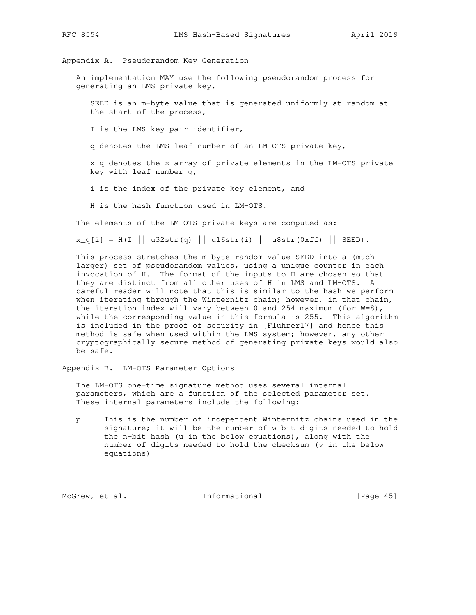Appendix A. Pseudorandom Key Generation

 An implementation MAY use the following pseudorandom process for generating an LMS private key.

 SEED is an m-byte value that is generated uniformly at random at the start of the process,

I is the LMS key pair identifier,

q denotes the LMS leaf number of an LM-OTS private key,

 x\_q denotes the x array of private elements in the LM-OTS private key with leaf number q,

i is the index of the private key element, and

H is the hash function used in LM-OTS.

The elements of the LM-OTS private keys are computed as:

 $x_q[i] = H(I || u32str(q) || u16str(i) || u8str(0xf) || SEED).$ 

 This process stretches the m-byte random value SEED into a (much larger) set of pseudorandom values, using a unique counter in each invocation of H. The format of the inputs to H are chosen so that they are distinct from all other uses of H in LMS and LM-OTS. A careful reader will note that this is similar to the hash we perform when iterating through the Winternitz chain; however, in that chain, the iteration index will vary between 0 and 254 maximum (for  $W=8$ ), while the corresponding value in this formula is 255. This algorithm is included in the proof of security in [Fluhrer17] and hence this method is safe when used within the LMS system; however, any other cryptographically secure method of generating private keys would also be safe.

Appendix B. LM-OTS Parameter Options

 The LM-OTS one-time signature method uses several internal parameters, which are a function of the selected parameter set. These internal parameters include the following:

 p This is the number of independent Winternitz chains used in the signature; it will be the number of w-bit digits needed to hold the n-bit hash (u in the below equations), along with the number of digits needed to hold the checksum (v in the below equations)

McGrew, et al. 1nformational [Page 45]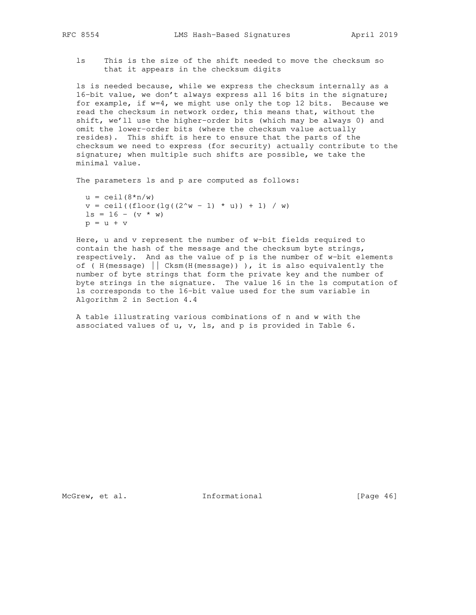ls This is the size of the shift needed to move the checksum so that it appears in the checksum digits

 ls is needed because, while we express the checksum internally as a 16-bit value, we don't always express all 16 bits in the signature; for example, if w=4, we might use only the top 12 bits. Because we read the checksum in network order, this means that, without the shift, we'll use the higher-order bits (which may be always 0) and omit the lower-order bits (where the checksum value actually resides). This shift is here to ensure that the parts of the checksum we need to express (for security) actually contribute to the signature; when multiple such shifts are possible, we take the minimal value.

The parameters ls and p are computed as follows:

 $u = \text{ceil}(8*n/w)$  $v = \text{ceil}((\text{floor}(lq((2^w - 1) * u)) + 1) / w)$  $ls = 16 - (v * w)$  $p = u + v$ 

 Here, u and v represent the number of w-bit fields required to contain the hash of the message and the checksum byte strings, respectively. And as the value of p is the number of w-bit elements of (  $H(message)$  | Cksm( $H(message)$  ) ), it is also equivalently the number of byte strings that form the private key and the number of byte strings in the signature. The value 16 in the ls computation of ls corresponds to the 16-bit value used for the sum variable in Algorithm 2 in Section 4.4

 A table illustrating various combinations of n and w with the associated values of u, v, ls, and p is provided in Table 6.

McGrew, et al. 1nformational [Page 46]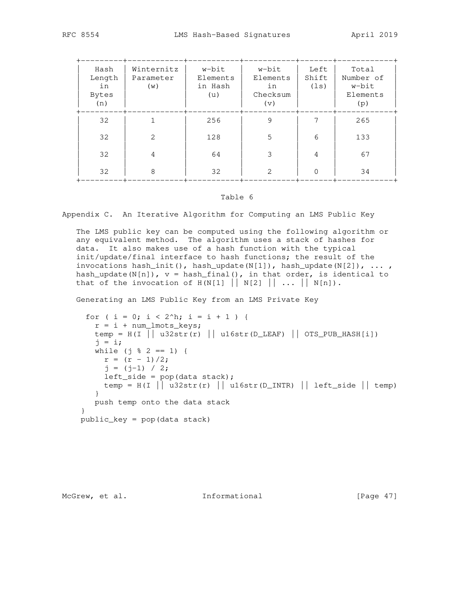| Hash<br>Length<br>in<br>Bytes<br>(n) | Winternitz<br>Parameter<br>(w) | w-bit<br>Elements<br>in Hash<br>(u) | w-bit<br>Elements<br>in<br>Checksum<br>(v) | Left<br>Shift<br>(ls) | Total<br>Number of<br>w-bit<br>Elements<br>(p) |
|--------------------------------------|--------------------------------|-------------------------------------|--------------------------------------------|-----------------------|------------------------------------------------|
| 32                                   |                                | 256                                 | 9                                          |                       | 265                                            |
| 32                                   | 2                              | 128                                 | 5                                          | 6                     | 133                                            |
| 32                                   | 4                              | 64                                  | 3                                          | 4                     | 67                                             |
| 32                                   | 8                              | 32                                  | $\overline{2}$                             |                       | 34                                             |

#### Table 6

Appendix C. An Iterative Algorithm for Computing an LMS Public Key

 The LMS public key can be computed using the following algorithm or any equivalent method. The algorithm uses a stack of hashes for data. It also makes use of a hash function with the typical init/update/final interface to hash functions; the result of the invocations hash\_init(), hash\_update(N[1]), hash\_update(N[2]),  $\ldots$ , hash\_update(N[n]),  $v =$  hash\_final(), in that order, is identical to that of the invocation of  $H(N[1] \mid N[2] \mid \ldots \mid N[n])$ .

Generating an LMS Public Key from an LMS Private Key

```
for ( i = 0; i < 2^h; i = i + 1 ) {
  r = i + num\_lmots\_keys;temp = H(I || u32str(r) || u16str(D_LEAF) || OTS_PUB_HASH[i])j = i;while (j % 2 == 1) {
    r = (r - 1)/2;j = (j-1) / 2;left\_side = pop(data stack);temp = H(I \mid \dot{)} u32str(r) || u16str(D_INTR) || left_side || temp)
    }
    push temp onto the data stack
 }
 public_key = pop(data stack)
```
McGrew, et al. 1nformational [Page 47]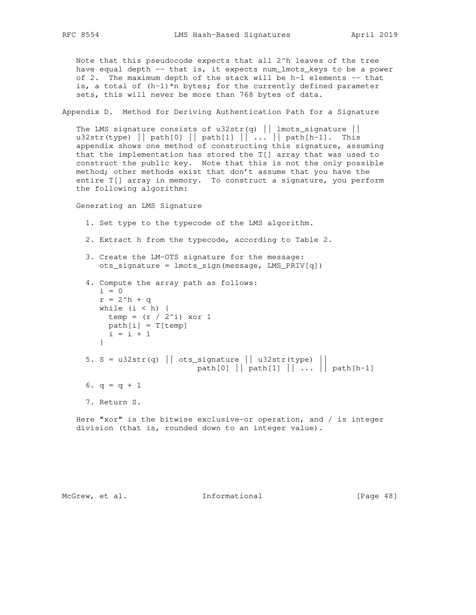Note that this pseudocode expects that all 2^h leaves of the tree have equal depth -- that is, it expects num\_lmots\_keys to be a power of 2. The maximum depth of the stack will be h-1 elements  $-$  that is, a total of  $(h-1)$ \*n bytes; for the currently defined parameter sets, this will never be more than 768 bytes of data.

Appendix D. Method for Deriving Authentication Path for a Signature

The LMS signature consists of u32str(q) || lmots\_signature || u32str(type) || path[0] || path[1] || ... || path[h-1]. This appendix shows one method of constructing this signature, assuming that the implementation has stored the T[] array that was used to construct the public key. Note that this is not the only possible method; other methods exist that don't assume that you have the entire T[] array in memory. To construct a signature, you perform the following algorithm:

Generating an LMS Signature

```
 1. Set type to the typecode of the LMS algorithm.
```
- 2. Extract h from the typecode, according to Table 2.
- 3. Create the LM-OTS signature for the message: ots\_signature = lmots\_sign(message, LMS\_PRIV[q])

```
 4. Compute the array path as follows:
   i = 0r = 2^h + qwhile (i < h) {
   temp = (r / 2^i) xor 1
    path[i] = T[temp]
    i = i + 1 }
5. S = u32str(q) || ots_signature || u32str(type) ||path[0] || path[1] || \ldots || path[h-1]6. q = q + 1 7. Return S.
```
 Here "xor" is the bitwise exclusive-or operation, and / is integer division (that is, rounded down to an integer value).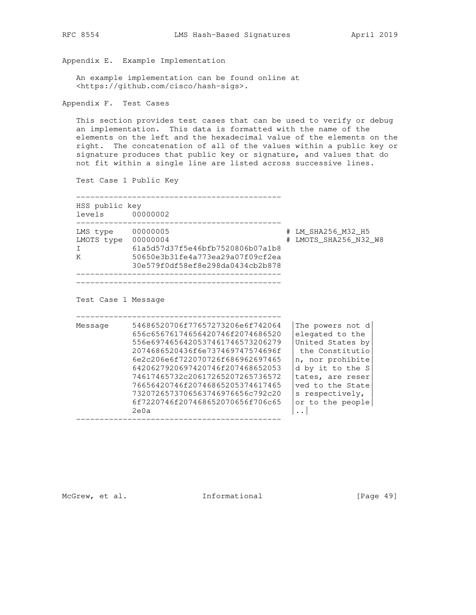Appendix E. Example Implementation

 An example implementation can be found online at <https://github.com/cisco/hash-sigs>.

Appendix F. Test Cases

 This section provides test cases that can be used to verify or debug an implementation. This data is formatted with the name of the elements on the left and the hexadecimal value of the elements on the right. The concatenation of all of the values within a public key or signature produces that public key or signature, and values that do not fit within a single line are listed across successive lines.

Test Case 1 Public Key

| levels 00000002 |                                  |   |                       |
|-----------------|----------------------------------|---|-----------------------|
| LMS type        | 00000005                         | # | LM SHA256 M32 H5      |
| LMOTS type      | 00000004                         |   | # LMOTS SHA256 N32 W8 |
|                 | 61a5d57d37f5e46bfb7520806b07a1b8 |   |                       |
| Κ               | 50650e3b31fe4a773ea29a07f09cf2ea |   |                       |
|                 | 30e579f0df58ef8e298da0434cb2b878 |   |                       |

Test Case 1 Message

| Message | 54686520706f77657273206e6f742064 | The powers not d |
|---------|----------------------------------|------------------|
|         | 656c65676174656420746f2074686520 | elegated to the  |
|         | 556e6974656420537461746573206279 | United States by |
|         | 2074686520436f6e737469747574696f | the Constitutio  |
|         | 6e2c206e6f722070726f686962697465 | n, nor prohibite |
|         | 6420627920697420746f207468652053 | d by it to the S |
|         | 74617465732c20617265207265736572 | tates, are reser |
|         | 76656420746f20746865205374617465 | yed to the State |
|         | 7320726573706563746976656c792c20 | s respectively,  |
|         | 6f7220746f207468652070656f706c65 | or to the people |
|         | 2e0a                             |                  |

McGrew, et al. 1nformational [Page 49]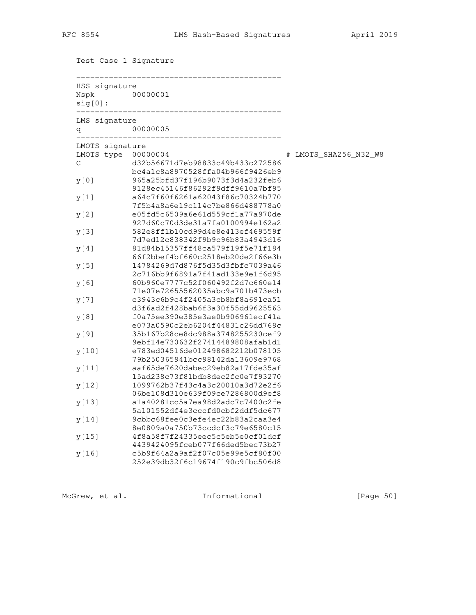Test Case 1 Signature

| HSS signature<br>Nspk<br>$sig[0]$ : | 00000001                                                             |                       |
|-------------------------------------|----------------------------------------------------------------------|-----------------------|
| LMS signature<br>q                  | 00000005                                                             |                       |
| LMOTS signature                     |                                                                      |                       |
| LMOTS type                          | 00000004                                                             | # LMOTS_SHA256_N32_W8 |
| $\mathsf C$                         | d32b56671d7eb98833c49b433c272586<br>bc4a1c8a8970528ffa04b966f9426eb9 |                       |
| y[0]                                | 965a25bfd37f196b9073f3d4a232feb6<br>9128ec45146f86292f9dff9610a7bf95 |                       |
| y[1]                                | a64c7f60f6261a62043f86c70324b770<br>7f5b4a8a6e19c114c7be866d488778a0 |                       |
| y[2]                                | e05fd5c6509a6e61d559cf1a77a970de<br>927d60c70d3de31a7fa0100994e162a2 |                       |
| y [3]                               | 582e8ff1b10cd99d4e8e413ef469559f<br>7d7ed12c838342f9b9c96b83a4943d16 |                       |
| y [4]                               | 81d84b15357ff48ca579f19f5e71f184<br>66f2bbef4bf660c2518eb20de2f66e3b |                       |
| y[5]                                | 14784269d7d876f5d35d3fbfc7039a46<br>2c716bb9f6891a7f41ad133e9e1f6d95 |                       |
| y[6]                                | 60b960e7777c52f060492f2d7c660e14<br>71e07e72655562035abc9a701b473ecb |                       |
| y[7]                                | c3943c6b9c4f2405a3cb8bf8a691ca51<br>d3f6ad2f428bab6f3a30f55dd9625563 |                       |
| y[8]                                | f0a75ee390e385e3ae0b906961ecf41a<br>e073a0590c2eb6204f44831c26dd768c |                       |
| y [9]                               | 35b167b28ce8dc988a3748255230cef9<br>9ebf14e730632f27414489808afab1d1 |                       |
| y[10]                               | e783ed04516de012498682212b078105<br>79b250365941bcc98142da13609e9768 |                       |
| y [11]                              | aaf65de7620dabec29eb82a17fde35af<br>15ad238c73f81bdb8dec2fc0e7f93270 |                       |
| y[12]                               | 1099762b37f43c4a3c20010a3d72e2f6<br>06be108d310e639f09ce7286800d9ef8 |                       |
| y [13]                              | ala40281cc5a7ea98d2adc7c7400c2fe<br>5a101552df4e3cccfd0cbf2ddf5dc677 |                       |
| y [14]                              | 9cbbc68fee0c3efe4ec22b83a2caa3e4<br>8e0809a0a750b73ccdcf3c79e6580c15 |                       |
| y [15]                              | 4f8a58f7f24335eec5c5eb5e0cf01dcf<br>4439424095fceb077f66ded5bec73b27 |                       |
| y[16]                               | c5b9f64a2a9af2f07c05e99e5cf80f00<br>252e39db32f6c19674f190c9fbc506d8 |                       |

McGrew, et al. 1nformational [Page 50]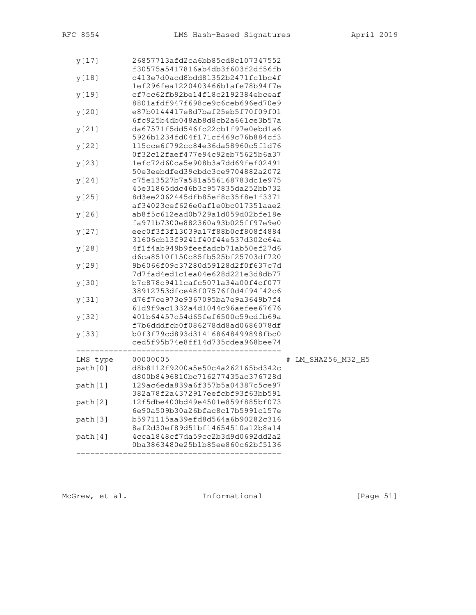| y[18]    | c413e7d0acd8bdd81352b2471fc1bc4f<br>1ef296fea1220403466b1afe78b94f7e                                     |   |                  |
|----------|----------------------------------------------------------------------------------------------------------|---|------------------|
| y[19]    | cf7cc62fb92be14f18c2192384ebceaf<br>8801afdf947f698ce9c6ceb696ed70e9                                     |   |                  |
| y[20]    | e87b0144417e8d7baf25eb5f70f09f01                                                                         |   |                  |
| y[21]    | 6fc925b4db048ab8d8cb2a661ce3b57a<br>da67571f5dd546fc22cb1f97e0ebd1a6                                     |   |                  |
| y[22]    | 5926b1234fd04f171cf469c76b884cf3<br>115cce6f792cc84e36da58960c5f1d76                                     |   |                  |
| y [23]   | 0f32c12faef477e94c92eb75625b6a37<br>1efc72d60ca5e908b3a7dd69fef02491                                     |   |                  |
| y [24]   | 50e3eebdfed39cbdc3ce9704882a2072<br>c75e13527b7a581a556168783dc1e975                                     |   |                  |
| y[25]    | 45e31865ddc46b3c957835da252bb732<br>8d3ee2062445dfb85ef8c35f8e1f3371<br>af34023cef626e0af1e0bc017351aae2 |   |                  |
| y[26]    | ab8f5c612ead0b729a1d059d02bfe18e<br>fa971b7300e882360a93b025ff97e9e0                                     |   |                  |
| y[27]    | eec0f3f3f13039a17f88b0cf808f4884<br>31606cb13f9241f40f44e537d302c64a                                     |   |                  |
| y[28]    | 4f1f4ab949b9feefadcb71ab50ef27d6<br>d6ca8510f150c85fb525bf25703df720                                     |   |                  |
| y[29]    | 9b6066f09c37280d59128d2f0f637c7d<br>7d7fad4ed1c1ea04e628d221e3d8db77                                     |   |                  |
| y [30]   | b7c878c9411cafc5071a34a00f4cf077<br>38912753dfce48f07576f0d4f94f42c6                                     |   |                  |
| y[31]    | d76f7ce973e9367095ba7e9a3649b7f4<br>61d9f9ac1332a4d1044c96aefee67676                                     |   |                  |
| y [32]   | 401b64457c54d65fef6500c59cdfb69a<br>f7b6dddfcb0f086278dd8ad0686078df                                     |   |                  |
| y [33]   | b0f3f79cd893d314168648499898fbc0<br>ced5f95b74e8ff14d735cdea968bee74                                     |   |                  |
| LMS type | 00000005                                                                                                 | # | LM_SHA256_M32_H5 |
| path[0]  | d8b8112f9200a5e50c4a262165bd342c<br>d800b8496810bc716277435ac376728d                                     |   |                  |
| path[1]  | 129ac6eda839a6f357b5a04387c5ce97<br>382a78f2a4372917eefcbf93f63bb591                                     |   |                  |
| path[2]  | 12f5dbe400bd49e4501e859f885bf073<br>6e90a509b30a26bfac8c17b5991c157e                                     |   |                  |
| path[3]  | b5971115aa39efd8d564a6b90282c316<br>8af2d30ef89d51bf14654510a12b8a14                                     |   |                  |
| path[4]  | 4cca1848cf7da59cc2b3d9d0692dd2a2<br>0ba3863480e25b1b85ee860c62bf5136                                     |   |                  |

McGrew, et al. 1nformational [Page 51]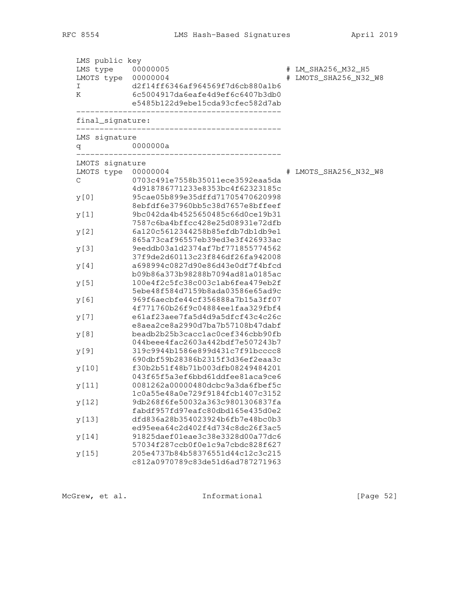| LMS public key<br>LMS type<br>LMOTS type<br>I<br>Κ | 00000005<br>00000004<br>d2f14ff6346af964569f7d6cb880a1b6<br>6c5004917da6eafe4d9ef6c6407b3db0<br>e5485b122d9ebe15cda93cfec582d7ab | # | # LM_SHA256_M32_H5<br>LMOTS_SHA256_N32_W8 |
|----------------------------------------------------|----------------------------------------------------------------------------------------------------------------------------------|---|-------------------------------------------|
| final_signature:                                   |                                                                                                                                  |   |                                           |
| LMS signature<br>q                                 | 0000000a                                                                                                                         |   |                                           |
| LMOTS signature                                    |                                                                                                                                  |   |                                           |
| LMOTS type<br>$\mathsf C$                          | 00000004<br>0703c491e7558b35011ece3592eaa5da                                                                                     |   | LMOTS_SHA256_N32_W8                       |
|                                                    | 4d918786771233e8353bc4f62323185c                                                                                                 |   |                                           |
| y[0]                                               | 95cae05b899e35dffd71705470620998                                                                                                 |   |                                           |
| y[1]                                               | 8ebfdf6e37960bb5c38d7657e8bffeef<br>9bc042da4b4525650485c66d0ce19b31                                                             |   |                                           |
|                                                    | 7587c6ba4bffcc428e25d08931e72dfb                                                                                                 |   |                                           |
| y[2]                                               | 6a120c5612344258b85efdb7db1db9e1                                                                                                 |   |                                           |
|                                                    | 865a73caf96557eb39ed3e3f426933ac                                                                                                 |   |                                           |
| y[3]                                               | 9eeddb03a1d2374af7bf771855774562<br>37f9de2d60113c23f846df26fa942008                                                             |   |                                           |
| y[4]                                               | a698994c0827d90e86d43e0df7f4bfcd                                                                                                 |   |                                           |
|                                                    | b09b86a373b98288b7094ad81a0185ac                                                                                                 |   |                                           |
| y[5]                                               | 100e4f2c5fc38c003c1ab6fea479eb2f<br>5ebe48f584d7159b8ada03586e65ad9c                                                             |   |                                           |
| y[6]                                               | 969f6aecbfe44cf356888a7b15a3ff07                                                                                                 |   |                                           |
|                                                    | 4f771760b26f9c04884ee1faa329fbf4                                                                                                 |   |                                           |
| y [ 7 ]                                            | e61af23aee7fa5d4d9a5dfcf43c4c26c                                                                                                 |   |                                           |
|                                                    | e8aea2ce8a2990d7ba7b57108b47dabf<br>beadb2b25b3cacclac0cef346cbb90fb                                                             |   |                                           |
| y[8]                                               | 044beee4fac2603a442bdf7e507243b7                                                                                                 |   |                                           |
| y[9]                                               | 319c9944b1586e899d431c7f91bcccc8                                                                                                 |   |                                           |
|                                                    | 690dbf59b28386b2315f3d36ef2eaa3c                                                                                                 |   |                                           |
| y[10]                                              | f30b2b51f48b71b003dfb08249484201                                                                                                 |   |                                           |
| y[11]                                              | 043f65f5a3ef6bbd61ddfee81aca9ce6<br>0081262a00000480dcbc9a3da6fbef5c                                                             |   |                                           |
|                                                    | 1c0a55e48a0e729f9184fcb1407c3152                                                                                                 |   |                                           |
| y[12]                                              | 9db268f6fe50032a363c9801306837fa                                                                                                 |   |                                           |
|                                                    | fabdf957fd97eafc80dbd165e435d0e2                                                                                                 |   |                                           |
| y[13]                                              | dfd836a28b354023924b6fb7e48bc0b3<br>ed95eea64c2d402f4d734c8dc26f3ac5                                                             |   |                                           |
| y[14]                                              | 91825daef01eae3c38e3328d00a77dc6                                                                                                 |   |                                           |
|                                                    | 57034f287ccb0f0e1c9a7cbdc828f627                                                                                                 |   |                                           |
| y[15]                                              | 205e4737b84b58376551d44c12c3c215                                                                                                 |   |                                           |
|                                                    | c812a0970789c83de51d6ad787271963                                                                                                 |   |                                           |

McGrew, et al. 1nformational [Page 52]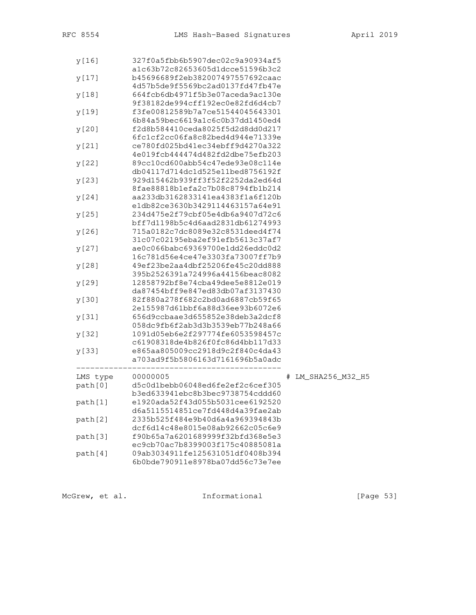| y[16]    | 327f0a5fbb6b5907dec02c9a90934af5                                     |   |                  |  |
|----------|----------------------------------------------------------------------|---|------------------|--|
|          | a1c63b72c82653605d1dcce51596b3c2<br>b45696689f2eb382007497557692caac |   |                  |  |
| y [17]   | 4d57b5de9f5569bc2ad0137fd47fb47e                                     |   |                  |  |
| y[18]    | 664fcb6db4971f5b3e07aceda9ac130e                                     |   |                  |  |
|          | 9f38182de994cff192ec0e82fd6d4cb7                                     |   |                  |  |
| y[19]    | f3fe00812589b7a7ce51544045643301                                     |   |                  |  |
|          | 6b84a59bec6619a1c6c0b37dd1450ed4                                     |   |                  |  |
| y[20]    | f2d8b584410ceda8025f5d2d8dd0d217                                     |   |                  |  |
|          | 6fc1cf2cc06fa8c82bed4d944e71339e                                     |   |                  |  |
| y[21]    | ce780fd025bd41ec34ebff9d4270a322                                     |   |                  |  |
|          | 4e019fcb444474d482fd2dbe75efb203                                     |   |                  |  |
| y[22]    | 89cc10cd600abb54c47ede93e08c114e                                     |   |                  |  |
|          | db04117d714dc1d525e11bed8756192f                                     |   |                  |  |
| y[23]    | 929d15462b939ff3f52f2252da2ed64d                                     |   |                  |  |
|          | 8fae88818b1efa2c7b08c8794fb1b214                                     |   |                  |  |
| y[24]    | aa233db3162833141ea4383f1a6f120b                                     |   |                  |  |
|          | e1db82ce3630b3429114463157a64e91                                     |   |                  |  |
| y[25]    | 234d475e2f79cbf05e4db6a9407d72c6                                     |   |                  |  |
|          | bff7d1198b5c4d6aad2831db61274993                                     |   |                  |  |
| y[26]    | 715a0182c7dc8089e32c8531deed4f74                                     |   |                  |  |
|          | 31c07c02195eba2ef91efb5613c37af7<br>ae0c066babc69369700e1dd26eddc0d2 |   |                  |  |
| y[27]    | 16c781d56e4ce47e3303fa73007ff7b9                                     |   |                  |  |
| y[28]    | 49ef23be2aa4dbf25206fe45c20dd888                                     |   |                  |  |
|          | 395b2526391a724996a44156beac8082                                     |   |                  |  |
| y[29]    | 12858792bf8e74cba49dee5e8812e019                                     |   |                  |  |
|          | da87454bff9e847ed83db07af3137430                                     |   |                  |  |
| y [30]   | 82f880a278f682c2bd0ad6887cb59f65                                     |   |                  |  |
|          | 2e155987d61bbf6a88d36ee93b6072e6                                     |   |                  |  |
| y[31]    | 656d9ccbaae3d655852e38deb3a2dcf8                                     |   |                  |  |
|          | 058dc9fb6f2ab3d3b3539eb77b248a66                                     |   |                  |  |
| y [32]   | 1091d05eb6e2f297774fe6053598457c                                     |   |                  |  |
|          | c61908318de4b826f0fc86d4bb117d33                                     |   |                  |  |
| y[33]    | e865aa805009cc2918d9c2f840c4da43                                     |   |                  |  |
|          | a703ad9f5b5806163d7161696b5a0adc                                     |   |                  |  |
|          |                                                                      |   |                  |  |
| LMS type | 00000005                                                             | # | LM_SHA256_M32_H5 |  |
| path[0]  | d5c0d1bebb06048ed6fe2ef2c6cef305                                     |   |                  |  |
|          | b3ed633941ebc8b3bec9738754cddd60                                     |   |                  |  |
| path[1]  | e1920ada52f43d055b5031cee6192520<br>d6a5115514851ce7fd448d4a39fae2ab |   |                  |  |
| path[2]  | 2335b525f484e9b40d6a4a969394843b                                     |   |                  |  |
|          | dcf6d14c48e8015e08ab92662c05c6e9                                     |   |                  |  |
| path[3]  | f90b65a7a6201689999f32bfd368e5e3                                     |   |                  |  |
|          | ec9cb70ac7b8399003f175c40885081a                                     |   |                  |  |
| path[4]  | 09ab3034911fe125631051df0408b394                                     |   |                  |  |
|          | 6b0bde790911e8978ba07dd56c73e7ee                                     |   |                  |  |
|          |                                                                      |   |                  |  |
|          |                                                                      |   |                  |  |

McGrew, et al. 1nformational [Page 53]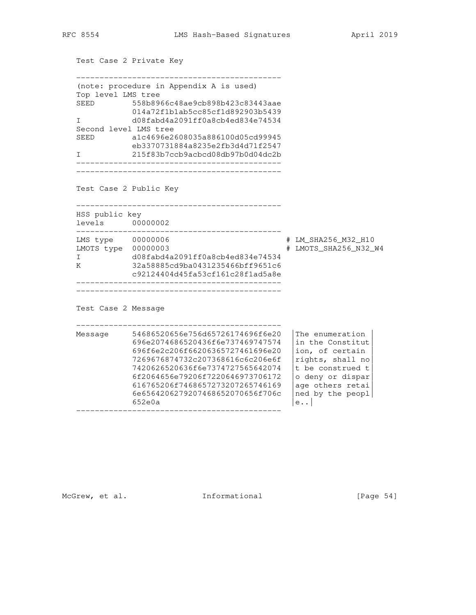```
 Test Case 2 Private Key
   --------------------------------------------
   (note: procedure in Appendix A is used)
   Top level LMS tree
   SEED 558b8966c48ae9cb898b423c83443aae
 014a72f1b1ab5cc85cf1d892903b5439
 I d08fabd4a2091ff0a8cb4ed834e74534
   Second level LMS tree
   SEED a1c4696e2608035a886100d05cd99945
 eb3370731884a8235e2fb3d4d71f2547
 I 215f83b7ccb9acbcd08db97b0d04dc2b
   --------------------------------------------
      --------------------------------------------
   Test Case 2 Public Key
    --------------------------------------------
   HSS public key
   levels 00000002
   --------------------------------------------
   LMS type 00000006 # LM_SHA256_M32_H10
 LMOTS type 00000003 # LMOTS_SHA256_N32_W4
 I d08fabd4a2091ff0a8cb4ed834e74534
 K 32a58885cd9ba0431235466bff9651c6
 c92124404d45fa53cf161c28f1ad5a8e
       --------------------------------------------
   --------------------------------------------
   Test Case 2 Message
   --------------------------------------------
   Message 54686520656e756d65726174696f6e20 |The enumeration |
             696e2074686520436f6e737469747574 |in the Constitut|
             696f6e2c206f66206365727461696e20 |ion, of certain |
 7269676874732c207368616c6c206e6f |rights, shall no|
 7420626520636f6e7374727565642074 |t be construed t|
 6f2064656e79206f7220646973706172 |o deny or dispar|
 616765206f7468657273207265746169 |age others retai|
 6e6564206279207468652070656f706c |ned by the peopl|
652e0a |e..|
   --------------------------------------------
```
McGrew, et al. 1nformational [Page 54]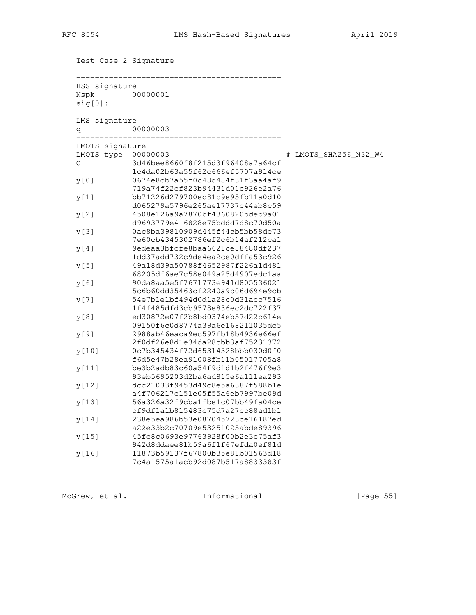Test Case 2 Signature

| Nspk<br>$sig[0]$ : | 00000001                                                                                                 |                       |
|--------------------|----------------------------------------------------------------------------------------------------------|-----------------------|
| LMS signature<br>q | 00000003                                                                                                 |                       |
| LMOTS signature    |                                                                                                          |                       |
| LMOTS type         | 00000003                                                                                                 | # LMOTS_SHA256_N32_W4 |
| $\mathsf C$        | 3d46bee8660f8f215d3f96408a7a64cf<br>1c4da02b63a55f62c666ef5707a914ce                                     |                       |
| y[0]               | 0674e8cb7a55f0c48d484f31f3aa4af9<br>719a74f22cf823b94431d01c926e2a76                                     |                       |
| y[1]               | bb71226d279700ec81c9e95fb11a0d10<br>d065279a5796e265ae17737c44eb8c59                                     |                       |
| y[2]               | 4508e126a9a7870bf4360820bdeb9a01<br>d9693779e416828e75bddd7d8c70d50a                                     |                       |
| y[3]               | 0ac8ba39810909d445f44cb5bb58de73<br>7e60cb4345302786ef2c6b14af212ca1                                     |                       |
| y [4]              | 9edeaa3bfcfe8baa6621ce88480df237<br>1dd37add732c9de4ea2ce0dffa53c926                                     |                       |
| y[5]               | 49a18d39a50788f4652987f226a1d481<br>68205df6ae7c58e049a25d4907edc1aa                                     |                       |
| y [6]              | 90da8aa5e5f7671773e941d805536021<br>5c6b60dd35463cf2240a9c06d694e9cb                                     |                       |
| y [ 7 ]            | 54e7b1e1bf494d0d1a28c0d31acc7516<br>1f4f485dfd3cb9578e836ec2dc722f37                                     |                       |
| y[8]               | ed30872e07f2b8bd0374eb57d22c614e<br>09150f6c0d8774a39a6e168211035dc5                                     |                       |
| y[9]               | 2988ab46eaca9ec597fb18b4936e66ef<br>2f0df26e8d1e34da28cbb3af75231372                                     |                       |
| y [10]             | 0c7b345434f72d65314328bbb030d0f0<br>f6d5e47b28ea91008fb11b05017705a8                                     |                       |
| y [11]             | be3b2adb83c60a54f9d1d1b2f476f9e3<br>93eb5695203d2ba6ad815e6a111ea293                                     |                       |
| y[12]              | dcc21033f9453d49c8e5a6387f588b1e<br>a4f706217c151e05f55a6eb7997be09d                                     |                       |
| y[13]              | 56a326a32f9cba1fbe1c07bb49fa04ce                                                                         |                       |
| y[14]              | cf9df1a1b815483c75d7a27cc88ad1b1<br>238e5ea986b53e087045723ce16187ed                                     |                       |
| y [15]             | a22e33b2c70709e53251025abde89396<br>45fc8c0693e97763928f00b2e3c75af3                                     |                       |
| y[16]              | 942d8ddaee81b59a6f1f67efda0ef81d<br>11873b59137f67800b35e81b01563d18<br>7c4a1575a1acb92d087b517a8833383f |                       |

McGrew, et al. 1nformational [Page 55]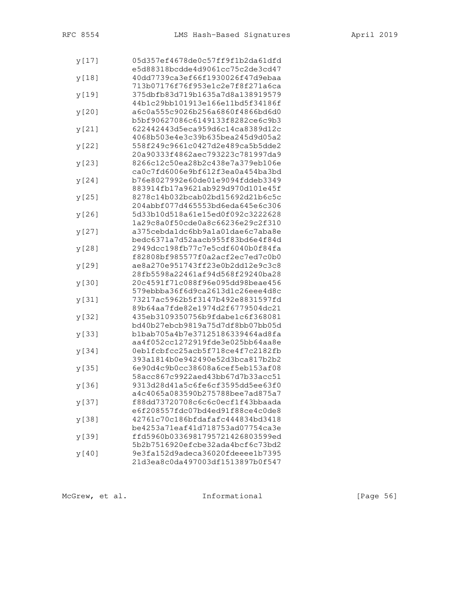| y [17] | 05d357ef4678de0c57ff9f1b2da61dfd                                     |
|--------|----------------------------------------------------------------------|
|        | e5d88318bcdde4d9061cc75c2de3cd47                                     |
| y[18]  | 40dd7739ca3ef66f1930026f47d9ebaa                                     |
|        | 713b07176f76f953e1c2e7f8f271a6ca                                     |
| y[19]  | 375dbfb83d719b1635a7d8a138919579                                     |
|        | 44b1c29bb101913e166e11bd5f34186f                                     |
| y[20]  | a6c0a555c9026b256a6860f4866bd6d0                                     |
|        | b5bf90627086c6149133f8282ce6c9b3                                     |
| y[21]  | 622442443d5eca959d6c14ca8389d12c                                     |
|        | 4068b503e4e3c39b635bea245d9d05a2                                     |
| y [22] | 558f249c9661c0427d2e489ca5b5dde2                                     |
|        | 20a90333f4862aec793223c781997da9                                     |
| y[23]  | 8266c12c50ea28b2c438e7a379eb106e                                     |
|        | ca0c7fd6006e9bf612f3ea0a454ba3bd                                     |
| y [24] | b76e8027992e60de01e9094fddeb3349                                     |
|        | 883914fb17a9621ab929d970d101e45f                                     |
| y [25] | 8278c14b032bcab02bd15692d21b6c5c                                     |
|        | 204abbf077d465553bd6eda645e6c306                                     |
| y[26]  | 5d33b10d518a61e15ed0f092c3222628                                     |
|        | 1a29c8a0f50cde0a8c66236e29c2f310                                     |
|        | a375cebda1dc6bb9a1a01dae6c7aba8e                                     |
| y [27] | bedc6371a7d52aacb955f83bd6e4f84d                                     |
|        | 2949dcc198fb77c7e5cdf6040b0f84fa                                     |
| y[28]  |                                                                      |
|        | f82808bf985577f0a2acf2ec7ed7c0b0                                     |
| y[29]  | ae8a270e951743ff23e0b2dd12e9c3c8                                     |
|        | 28fb5598a22461af94d568f29240ba28<br>20c4591f71c088f96e095dd98beae456 |
| y [30] |                                                                      |
|        | 579ebbba36f6d9ca2613d1c26eee4d8c<br>73217ac5962b5f3147b492e8831597fd |
| y[31]  |                                                                      |
|        | 89b64aa7fde82e1974d2f6779504dc21                                     |
| y [32] | 435eb3109350756b9fdabe1c6f368081                                     |
|        | bd40b27ebcb9819a75d7df8bb07bb05d                                     |
| y [33] | b1bab705a4b7e37125186339464ad8fa                                     |
|        | aa4f052cc1272919fde3e025bb64aa8e                                     |
| y [34] | 0eb1fcbfcc25acb5f718ce4f7c2182fb                                     |
|        | 393a1814b0e942490e52d3bca817b2b2                                     |
| y [35] | 6e90d4c9b0cc38608a6cef5eb153af08                                     |
|        | 58acc867c9922aed43bb67d7b33acc51                                     |
| у[36]  | 9313d28d41a5c6fe6cf3595dd5ee63f0                                     |
|        | a4c4065a083590b275788bee7ad875a7                                     |
| y [37] | f88dd73720708c6c6c0ecf1f43bbaada                                     |
|        | e6f208557fdc07bd4ed91f88ce4c0de8                                     |
| y[38]  | 42761c70c186bfdafafc444834bd3418                                     |
|        | be4253a71eaf41d718753ad07754ca3e                                     |
| y[39]  | ffd5960b0336981795721426803599ed                                     |
|        | 5b2b7516920efcbe32ada4bcf6c73bd2                                     |
| y [40] | 9e3fa152d9adeca36020fdeeee1b7395                                     |
|        | 21d3ea8c0da497003df1513897b0f547                                     |

McGrew, et al. 1nformational [Page 56]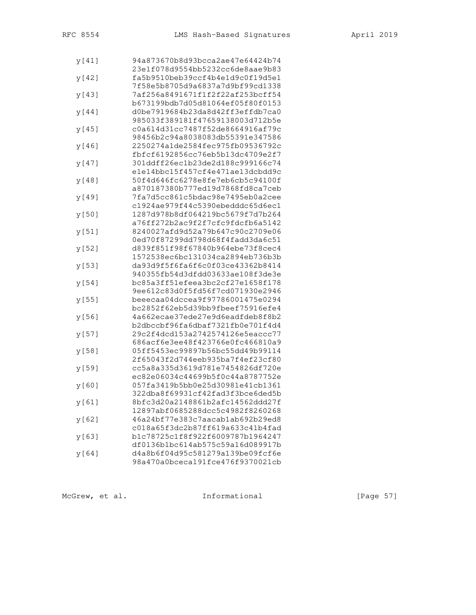| y[41]  | 94a873670b8d93bcca2ae47e64424b74 |
|--------|----------------------------------|
|        | 23e1f078d9554bb5232cc6de8aae9b83 |
| y [42] | fa5b9510beb39ccf4b4e1d9c0f19d5e1 |
|        | 7f58e5b8705d9a6837a7d9bf99cd1338 |
| y[43]  | 7af256a8491671f1f2f22af253bcff54 |
|        | b673199bdb7d05d81064ef05f80f0153 |
| y [44] | d0be7919684b23da8d42ff3effdb7ca0 |
|        | 985033f389181f47659138003d712b5e |
| y [45] | c0a614d31cc7487f52de8664916af79c |
|        | 98456b2c94a8038083db55391e347586 |
| y[46]  | 2250274a1de2584fec975fb09536792c |
|        | fbfcf6192856cc76eb5b13dc4709e2f7 |
| y [47] | 301ddff26ec1b23de2d188c999166c74 |
|        | ele14bbc15f457cf4e471ae13dcbdd9c |
| y[48]  | 50f4d646fc6278e8fe7eb6cb5c94100f |
|        | a870187380b777ed19d7868fd8ca7ceb |
| y[49]  | 7fa7d5cc861c5bdac98e7495eb0a2cee |
|        | c1924ae979f44c5390ebedddc65d6ec1 |
| y [50] | 1287d978b8df064219bc5679f7d7b264 |
|        | a76ff272b2ac9f2f7cfc9fdcfb6a5142 |
|        | 8240027afd9d52a79b647c90c2709e06 |
| y [51] | 0ed70f87299dd798d68f4fadd3da6c51 |
|        |                                  |
| y [52] | d839f851f98f67840b964ebe73f8cec4 |
|        | 1572538ec6bc131034ca2894eb736b3b |
| y[53]  | da93d9f5f6fa6f6c0f03ce43362b8414 |
|        | 940355fb54d3dfdd03633ae108f3de3e |
| y [54] | bc85a3ff51efeea3bc2cf27e1658f178 |
|        | 9ee612c83d0f5fd56f7cd071930e2946 |
| y [55] | beeecaa04dccea9f97786001475e0294 |
|        | bc2852f62eb5d39bb9fbeef75916efe4 |
| y[56]  | 4a662ecae37ede27e9d6eadfdeb8f8b2 |
|        | b2dbccbf96fa6dbaf7321fb0e701f4d4 |
| y [57] | 29c2f4dcd153a2742574126e5eaccc77 |
|        | 686acf6e3ee48f423766e0fc466810a9 |
| y [58] | 05ff5453ec99897b56bc55dd49b99114 |
|        | 2f65043f2d744eeb935ba7f4ef23cf80 |
| y[59]  | cc5a8a335d3619d781e7454826df720e |
|        | ec82e06034c44699b5f0c44a8787752e |
| y[60]  | 057fa3419b5bb0e25d30981e41cb1361 |
|        | 322dba8f69931cf42fad3f3bce6ded5b |
| y [61] | 8bfc3d20a2148861b2afc14562ddd27f |
|        | 12897abf0685288dcc5c4982f8260268 |
| y[62]  | 46a24bf77e383c7aacab1ab692b29ed8 |
|        | c018a65f3dc2b87ff619a633c41b4fad |
| y[63]  | b1c78725c1f8f922f6009787b1964247 |
|        | df0136b1bc614ab575c59a16d089917b |
| y [64] | d4a8b6f04d95c581279a139be09fcf6e |
|        | 98a470a0bceca191fce476f9370021cb |

McGrew, et al. 1nformational [Page 57]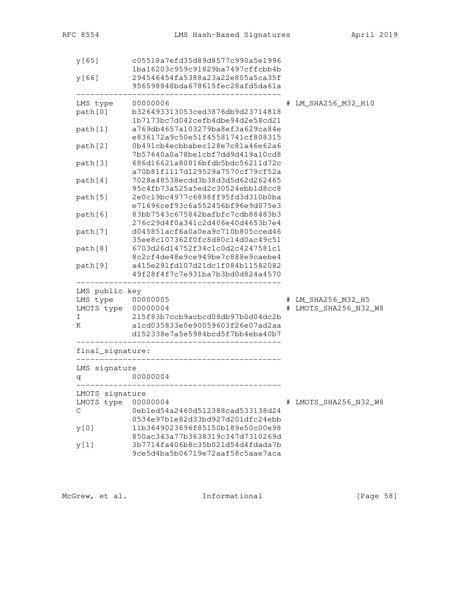| y[65]            | c05518a7efd35d89d8577c990a5e1996                                     |                       |
|------------------|----------------------------------------------------------------------|-----------------------|
| y[66]            | 1ba16203c959c91829ba7497cffcbb4b<br>294546454fa5388a23a22e805a5ca35f |                       |
|                  | 956598848bda678615fec28afd5da61a                                     |                       |
| LMS type         | 00000006                                                             | # LM_SHA256_M32_H10   |
| path[0]          | b326493313053ced3876db9d23714818                                     |                       |
|                  | 1b7173bc7d042cefb4dbe94d2e58cd21                                     |                       |
| path[1]          | a769db4657a103279ba8ef3a629ca84e<br>e836172a9c50e51f45581741cf808315 |                       |
| path[2]          | 0b491cb4ecbbabec128e7c81a46e62a6                                     |                       |
|                  | 7b57640a0a78be1cbf7dd9d419a10cd8                                     |                       |
| path[3]          | 686d16621a80816bfdb5bdc56211d72c                                     |                       |
|                  | a70b81f1117d129529a7570cf79cf52a                                     |                       |
| path[4]          | 7028a48538ecdd3b38d3d5d62d262465                                     |                       |
|                  | 95c4fb73a525a5ed2c30524ebb1d8cc8                                     |                       |
| path[5]          | 2e0c19bc4977c6898ff95fd3d310b0ba                                     |                       |
|                  | e71696cef93c6a552456bf96e9d075e3                                     |                       |
| path[6]          | 83bb7543c675842bafbfc7cdb88483b3                                     |                       |
|                  | 276c29d4f0a341c2d406e40d4653b7e4                                     |                       |
| path[7]          | d045851acf6a0a0ea9c710b805cced46                                     |                       |
|                  | 35ee8c107362f0fc8d80c14d0ac49c51                                     |                       |
| path[8]          | 6703d26d14752f34c1c0d2c4247581c1                                     |                       |
|                  | 8c2cf4de48e9ce949be7c888e9caebe4<br>a415e291fd107d21dc1f084b11582082 |                       |
| path[9]          | 49f28f4f7c7e931ba7b3bd0d824a4570                                     |                       |
| LMS public key   |                                                                      |                       |
| LMS type         | 00000005                                                             | # LM_SHA256_M32_H5    |
| LMOTS type       | 00000004                                                             | # LMOTS_SHA256_N32_W8 |
| Ι                | 215f83b7ccb9acbcd08db97b0d04dc2b                                     |                       |
| Κ                | a1cd035833e0e90059603f26e07ad2aa                                     |                       |
|                  | d152338e7a5e5984bcd5f7bb4eba40b7                                     |                       |
| final_signature: |                                                                      |                       |
| LMS signature    |                                                                      |                       |
| đ                | 00000004                                                             |                       |
| LMOTS signature  |                                                                      |                       |
| LMOTS type       | 00000004                                                             | # LMOTS_SHA256_N32_W8 |
| С                | 0eb1ed54a2460d512388cad533138d24                                     |                       |
|                  | 0534e97b1e82d33bd927d201dfc24ebb                                     |                       |
| y[0]             | 11b3649023696f85150b189e50c00e98                                     |                       |
|                  | 850ac343a77b3638319c347d7310269d<br>3b7714fa406b8c35b021d54d4fdada7b |                       |
| y[1]             | 9ce5d4ba5b06719e72aaf58c5aae7aca                                     |                       |
|                  |                                                                      |                       |

McGrew, et al. 1nformational [Page 58]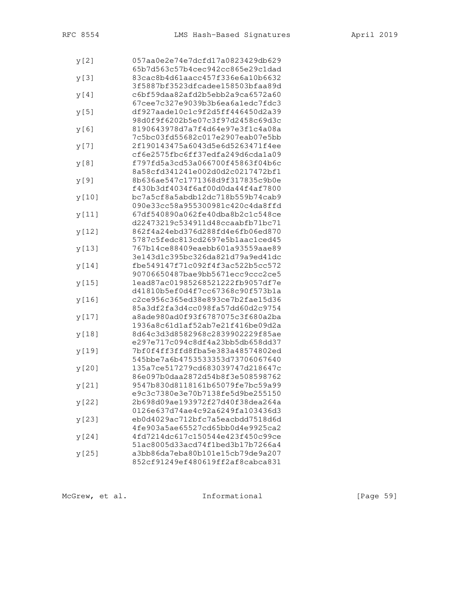| y[2]    | 057aa0e2e74e7dcfd17a0823429db629 |
|---------|----------------------------------|
|         | 65b7d563c57b4cec942cc865e29c1dad |
| y[3]    | 83cac8b4d61aacc457f336e6a10b6632 |
|         | 3f5887bf3523dfcadee158503bfaa89d |
| y [4]   | c6bf59daa82afd2b5ebb2a9ca6572a60 |
|         | 67cee7c327e9039b3b6ea6a1edc7fdc3 |
| y[5]    | df927aade10c1c9f2d5ff446450d2a39 |
|         | 98d0f9f6202b5e07c3f97d2458c69d3c |
| y[6]    | 8190643978d7a7f4d64e97e3f1c4a08a |
|         | 7c5bc03fd55682c017e2907eab07e5bb |
| y [ 7 ] | 2f190143475a6043d5e6d5263471f4ee |
|         | cf6e2575fbc6ff37edfa249d6cda1a09 |
| y[8]    | f797fd5a3cd53a066700f45863f04b6c |
|         | 8a58cfd341241e002d0d2c0217472bf1 |
| y[9]    | 8b636ae547c1771368d9f317835c9b0e |
|         | f430b3df4034f6af00d0da44f4af7800 |
|         | bc7a5cf8a5abdb12dc718b559b74cab9 |
| y [10]  | 090e33cc58a955300981c420c4da8ffd |
|         |                                  |
| y[11]   | 67df540890a062fe40dba8b2c1c548ce |
|         | d22473219c534911d48ccaabfb71bc71 |
| y[12]   | 862f4a24ebd376d288fd4e6fb06ed870 |
|         | 5787c5fedc813cd2697e5blaac1ced45 |
| y[13]   | 767b14ce88409eaebb601a93559aae89 |
|         | 3e143d1c395bc326da821d79a9ed41dc |
| y[14]   | fbe549147f71c092f4f3ac522b5cc572 |
|         | 90706650487bae9bb5671ecc9ccc2ce5 |
| y[15]   | 1ead87ac01985268521222fb9057df7e |
|         | d41810b5ef0d4f7cc67368c90f573b1a |
| y[16]   | c2ce956c365ed38e893ce7b2fae15d36 |
|         | 85a3df2fa3d4cc098fa57dd60d2c9754 |
| y[17]   | a8ade980ad0f93f6787075c3f680a2ba |
|         | 1936a8c61d1af52ab7e21f416be09d2a |
| y[18]   | 8d64c3d3d8582968c2839902229f85ae |
|         | e297e717c094c8df4a23bb5db658dd37 |
| y[19]   | 7bf0f4ff3ffd8fba5e383a48574802ed |
|         | 545bbe7a6b4753533353d73706067640 |
| y [20]  | 135a7ce517279cd683039747d218647c |
|         | 86e097b0daa2872d54b8f3e508598762 |
| y[21]   | 9547b830d8118161b65079fe7bc59a99 |
|         | e9c3c7380e3e70b7138fe5d9be255150 |
| y [22]  | 2b698d09ae193972f27d40f38dea264a |
|         | 0126e637d74ae4c92a6249fa103436d3 |
| y[23]   | eb0d4029ac712bfc7a5eacbdd7518d6d |
|         | 4fe903a5ae65527cd65bb0d4e9925ca2 |
|         | 4fd7214dc617c150544e423f450c99ce |
| y[24]   | 51ac8005d33acd74f1bed3b17b7266a4 |
|         |                                  |
| y [25]  | a3bb86da7eba80b101e15cb79de9a207 |
|         | 852cf91249ef480619ff2af8cabca831 |

McGrew, et al. 1nformational [Page 59]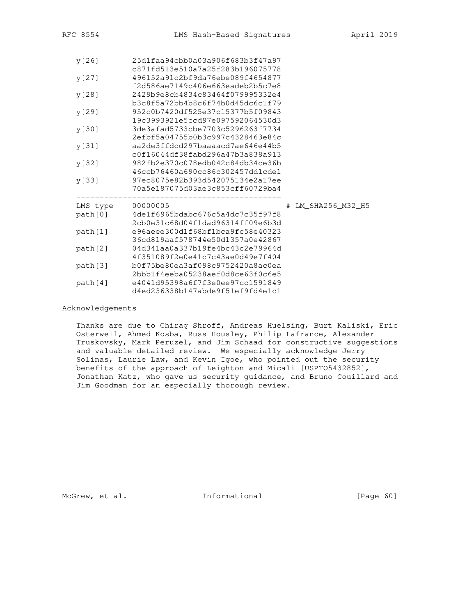| y[26]    | 25d1faa94cbb0a03a906f683b3f47a97<br>c871fd513e510a7a25f283b196075778                                     |                    |
|----------|----------------------------------------------------------------------------------------------------------|--------------------|
| y [27]   | 496152a91c2bf9da76ebe089f4654877                                                                         |                    |
| y [28]   | f2d586ae7149c406e663eadeb2b5c7e8<br>2429b9e8cb4834c83464f079995332e4                                     |                    |
| y[29]    | b3c8f5a72bb4b8c6f74b0d45dc6c1f79<br>952c0b7420df525e37c15377b5f09843                                     |                    |
| y [30]   | 19c3993921e5ccd97e097592064530d3<br>3de3afad5733cbe7703c5296263f7734<br>2efbf5a04755b0b3c997c4328463e84c |                    |
| y [31]   | aa2de3ffdcd297baaaacd7ae646e44b5<br>c0f16044df38fabd296a47b3a838a913                                     |                    |
| y [32]   | 982fb2e370c078edb042c84db34ce36b<br>46ccb76460a690cc86c302457dd1cde1                                     |                    |
| y [33]   | 97ec8075e82b393d542075134e2a17ee<br>70a5e187075d03ae3c853cff60729ba4                                     |                    |
| LMS type | 00000005                                                                                                 | # LM SHA256 M32 H5 |
| path[0]  | 4de1f6965bdabc676c5a4dc7c35f97f8<br>2cb0e31c68d04f1dad96314ff09e6b3d                                     |                    |
| path[1]  | e96aeee300d1f68bf1bca9fc58e40323<br>36cd819aaf578744e50d1357a0e42867                                     |                    |
| path[2]  | 04d341aa0a337b19fe4bc43c2e79964d<br>4f351089f2e0e41c7c43ae0d49e7f404                                     |                    |
| path[3]  | b0f75be80ea3af098c9752420a8ac0ea                                                                         |                    |
| path[4]  | 2bbb1f4eeba05238aef0d8ce63f0c6e5<br>e4041d95398a6f7f3e0ee97cc1591849<br>d4ed236338b147abde9f51ef9fd4e1c1 |                    |

Acknowledgements

 Thanks are due to Chirag Shroff, Andreas Huelsing, Burt Kaliski, Eric Osterweil, Ahmed Kosba, Russ Housley, Philip Lafrance, Alexander Truskovsky, Mark Peruzel, and Jim Schaad for constructive suggestions and valuable detailed review. We especially acknowledge Jerry Solinas, Laurie Law, and Kevin Igoe, who pointed out the security benefits of the approach of Leighton and Micali [USPTO5432852], Jonathan Katz, who gave us security guidance, and Bruno Couillard and Jim Goodman for an especially thorough review.

McGrew, et al. 1nformational [Page 60]